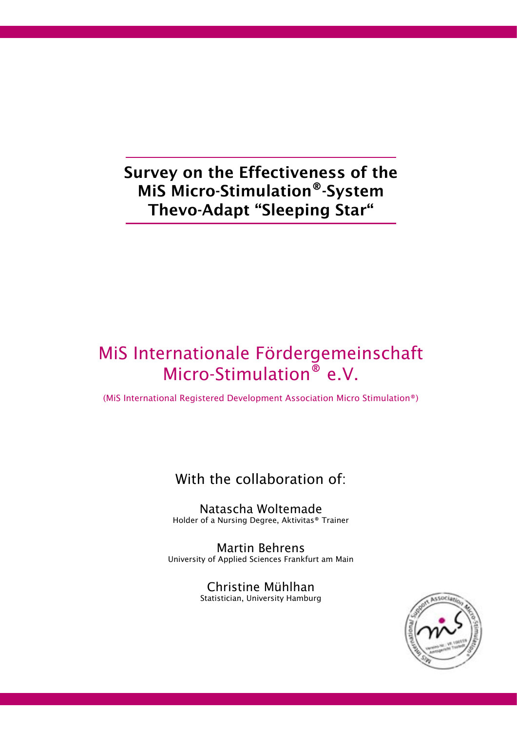# Survey on the Effectiveness of the MiS Micro-Stimulation®-System Thevo-Adapt "Sleeping Star"

# MiS Internationale Fördergemeinschaft Micro-Stimulation<sup>®</sup> e.V.

(MiS International Registered Development Association Micro Stimulation®)

# With the collaboration of:

Natascha Woltemade Holder of a Nursing Degree, Aktivitas® Trainer

Martin Behrens University of Applied Sciences Frankfurt am Main

> Christine Mühlhan Statistician, University Hamburg

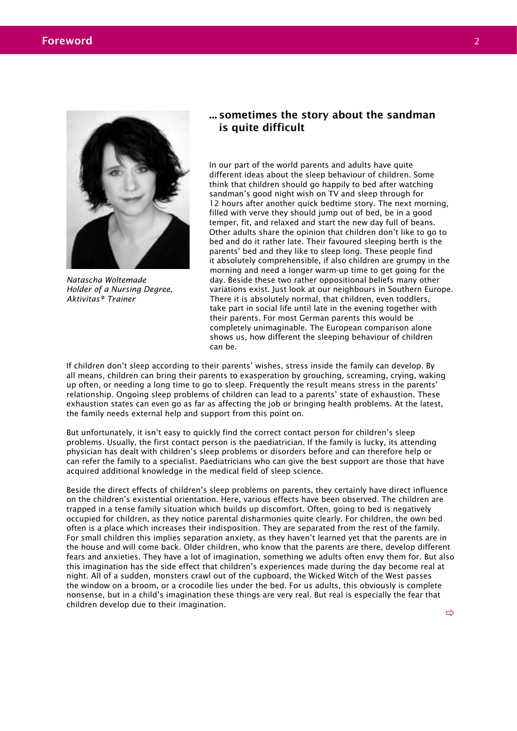

*Natascha Woltemade Holder of a Nursing Degree, Aktivitas® Trainer*

### ... sometimes the story about the sandman is quite difficult

In our part of the world parents and adults have quite different ideas about the sleep behaviour of children. Some think that children should go happily to bed after watching sandman's good night wish on TV and sleep through for 12 hours after another quick bedtime story. The next morning, filled with verve they should jump out of bed, be in a good temper, fit, and relaxed and start the new day full of beans. Other adults share the opinion that children don't like to go to bed and do it rather late. Their favoured sleeping berth is the parents' bed and they like to sleep long. These people find it absolutely comprehensible, if also children are grumpy in the morning and need a longer warm-up time to get going for the day. Beside these two rather oppositional beliefs many other variations exist. Just look at our neighbours in Southern Europe. There it is absolutely normal, that children, even toddlers, take part in social life until late in the evening together with their parents. For most German parents this would be completely unimaginable. The European comparison alone shows us, how different the sleeping behaviour of children can be.

If children don't sleep according to their parents' wishes, stress inside the family can develop. By all means, children can bring their parents to exasperation by grouching, screaming, crying, waking up often, or needing a long time to go to sleep. Frequently the result means stress in the parents' relationship. Ongoing sleep problems of children can lead to a parents' state of exhaustion. These exhaustion states can even go as far as affecting the job or bringing health problems. At the latest, the family needs external help and support from this point on.

But unfortunately, it isn't easy to quickly find the correct contact person for children's sleep problems. Usually, the first contact person is the paediatrician. If the family is lucky, its attending physician has dealt with children's sleep problems or disorders before and can therefore help or can refer the family to a specialist. Paediatricians who can give the best support are those that have acquired additional knowledge in the medical field of sleep science.

Beside the direct effects of children's sleep problems on parents, they certainly have direct influence on the children's existential orientation. Here, various effects have been observed. The children are trapped in a tense family situation which builds up discomfort. Often, going to bed is negatively occupied for children, as they notice parental disharmonies quite clearly. For children, the own bed often is a place which increases their indisposition. They are separated from the rest of the family. For small children this implies separation anxiety, as they haven't learned yet that the parents are in the house and will come back. Older children, who know that the parents are there, develop different fears and anxieties. They have a lot of imagination, something we adults often envy them for. But also this imagination has the side effect that children's experiences made during the day become real at night. All of a sudden, monsters crawl out of the cupboard, the Wicked Witch of the West passes the window on a broom, or a crocodile lies under the bed. For us adults, this obviously is complete nonsense, but in a child's imagination these things are very real. But real is especially the fear that children develop due to their imagination.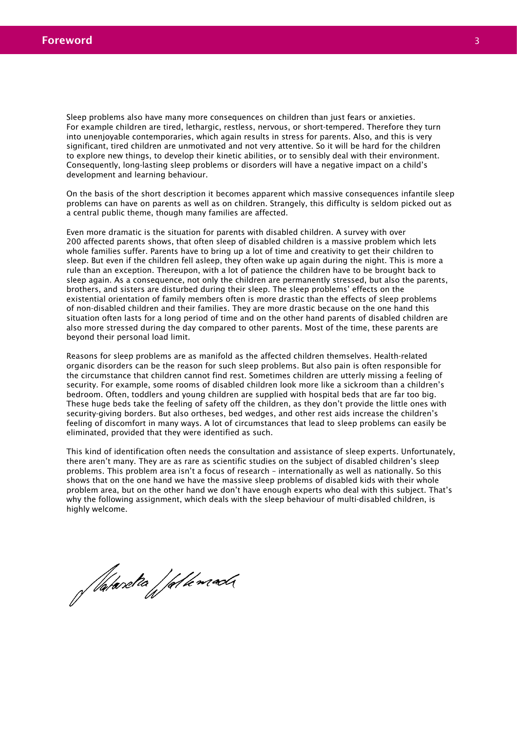Sleep problems also have many more consequences on children than just fears or anxieties. For example children are tired, lethargic, restless, nervous, or short-tempered. Therefore they turn into unenjoyable contemporaries, which again results in stress for parents. Also, and this is very significant, tired children are unmotivated and not very attentive. So it will be hard for the children to explore new things, to develop their kinetic abilities, or to sensibly deal with their environment. Consequently, long-lasting sleep problems or disorders will have a negative impact on a child's development and learning behaviour.

On the basis of the short description it becomes apparent which massive consequences infantile sleep problems can have on parents as well as on children. Strangely, this difficulty is seldom picked out as a central public theme, though many families are affected.

Even more dramatic is the situation for parents with disabled children. A survey with over 200 affected parents shows, that often sleep of disabled children is a massive problem which lets whole families suffer. Parents have to bring up a lot of time and creativity to get their children to sleep. But even if the children fell asleep, they often wake up again during the night. This is more a rule than an exception. Thereupon, with a lot of patience the children have to be brought back to sleep again. As a consequence, not only the children are permanently stressed, but also the parents, brothers, and sisters are disturbed during their sleep. The sleep problems' effects on the existential orientation of family members often is more drastic than the effects of sleep problems of non-disabled children and their families. They are more drastic because on the one hand this situation often lasts for a long period of time and on the other hand parents of disabled children are also more stressed during the day compared to other parents. Most of the time, these parents are beyond their personal load limit.

Reasons for sleep problems are as manifold as the affected children themselves. Health-related organic disorders can be the reason for such sleep problems. But also pain is often responsible for the circumstance that children cannot find rest. Sometimes children are utterly missing a feeling of security. For example, some rooms of disabled children look more like a sickroom than a children's bedroom. Often, toddlers and young children are supplied with hospital beds that are far too big. These huge beds take the feeling of safety off the children, as they don't provide the little ones with security-giving borders. But also ortheses, bed wedges, and other rest aids increase the children's feeling of discomfort in many ways. A lot of circumstances that lead to sleep problems can easily be eliminated, provided that they were identified as such.

This kind of identification often needs the consultation and assistance of sleep experts. Unfortunately, there aren't many. They are as rare as scientific studies on the subject of disabled children's sleep problems. This problem area isn't a focus of research – internationally as well as nationally. So this shows that on the one hand we have the massive sleep problems of disabled kids with their whole problem area, but on the other hand we don't have enough experts who deal with this subject. That's why the following assignment, which deals with the sleep behaviour of multi-disabled children, is highly welcome.

Nataretta / fal lemada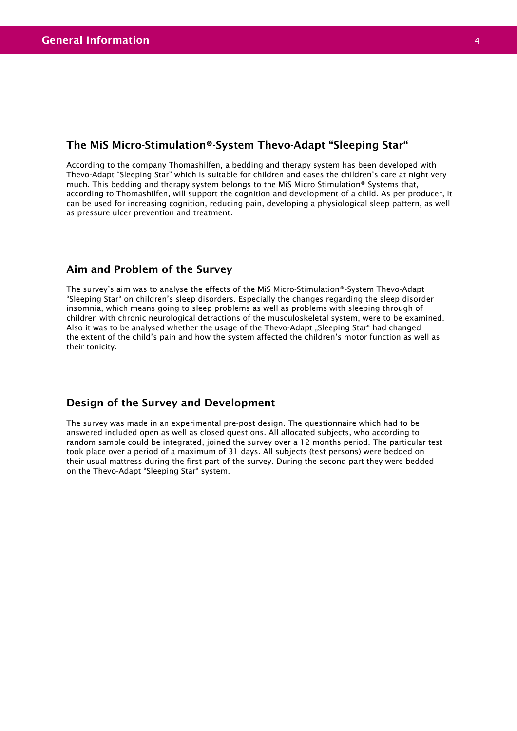### The MiS Micro-Stimulation®-System Thevo-Adapt "Sleeping Star"

According to the company Thomashilfen, a bedding and therapy system has been developed with Thevo-Adapt "Sleeping Star" which is suitable for children and eases the children's care at night very much. This bedding and therapy system belongs to the MiS Micro Stimulation® Systems that, according to Thomashilfen, will support the cognition and development of a child. As per producer, it can be used for increasing cognition, reducing pain, developing a physiological sleep pattern, as well as pressure ulcer prevention and treatment.

### Aim and Problem of the Survey

The survey's aim was to analyse the effects of the MiS Micro-Stimulation®-System Thevo-Adapt "Sleeping Star" on children's sleep disorders. Especially the changes regarding the sleep disorder insomnia, which means going to sleep problems as well as problems with sleeping through of children with chronic neurological detractions of the musculoskeletal system, were to be examined. Also it was to be analysed whether the usage of the Thevo-Adapt "Sleeping Star" had changed the extent of the child's pain and how the system affected the children's motor function as well as their tonicity.

### Design of the Survey and Development

The survey was made in an experimental pre-post design. The questionnaire which had to be answered included open as well as closed questions. All allocated subjects, who according to random sample could be integrated, joined the survey over a 12 months period. The particular test took place over a period of a maximum of 31 days. All subjects (test persons) were bedded on their usual mattress during the first part of the survey. During the second part they were bedded on the Thevo-Adapt "Sleeping Star" system.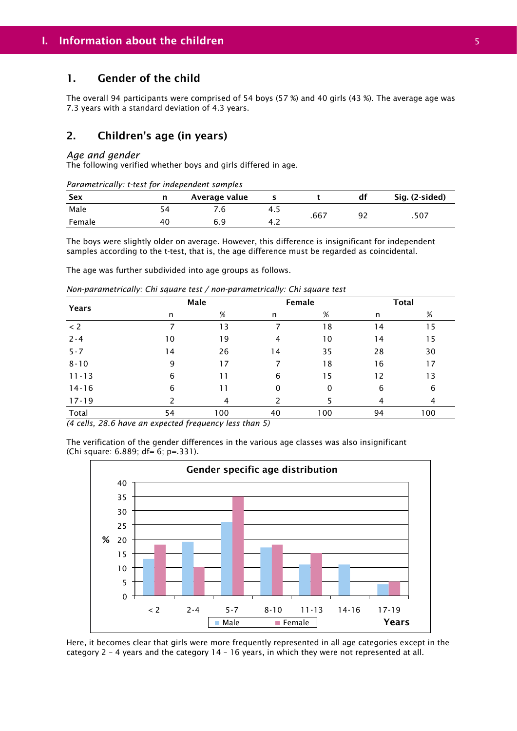### 1. Gender of the child

The overall 94 participants were comprised of 54 boys (57 %) and 40 girls (43 %). The average age was 7.3 years with a standard deviation of 4.3 years.

### 2. Children's age (in years)

#### *Age and gender*

The following verified whether boys and girls differed in age.

| Parametrically: t-test for independent samples |    |               |     |      |     |                |  |  |
|------------------------------------------------|----|---------------|-----|------|-----|----------------|--|--|
| Sex                                            |    | Average value |     |      | dt  | Sig. (2-sided) |  |  |
| Male                                           |    | 6./           | 4.5 | .667 | -92 | .507           |  |  |
| Female                                         | 40 | 6 Q           | 4.2 |      |     |                |  |  |

The boys were slightly older on average. However, this difference is insignificant for independent samples according to the t-test, that is, the age difference must be regarded as coincidental.

The age was further subdivided into age groups as follows.

*Non-parametrically: Chi square test / non-parametrically: Chi square test*

|           |    | Male |    | Female |    | <b>Total</b> |
|-----------|----|------|----|--------|----|--------------|
| Years     | n  | $\%$ | n  | %      | n  | %            |
| < 2       |    | 13   | 7  | 18     | 14 | 15           |
| $2 - 4$   | 10 | 19   | 4  | 10     | 14 | 15           |
| $5 - 7$   | 14 | 26   | 14 | 35     | 28 | 30           |
| $8 - 10$  | 9  | 17   |    | 18     | 16 | 17           |
| $11 - 13$ | 6  | 11   | 6  | 15     | 12 | 13           |
| $14 - 16$ | 6  | 11   | 0  | 0      | 6  | 6            |
| $17 - 19$ |    | 4    |    |        | 4  | 4            |
| Total     | 54 | 100  | 40 | 100    | 94 | 100          |

*(4 cells, 28.6 have an expected frequency less than 5)*





Here, it becomes clear that girls were more frequently represented in all age categories except in the category 2 – 4 years and the category 14 – 16 years, in which they were not represented at all.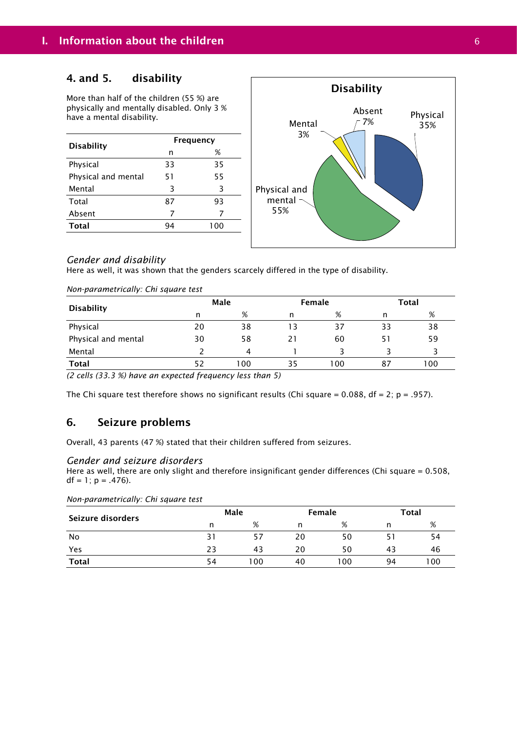#### 4. and 5. disability

More than half of the children (55 %) are physically and mentally disabled. Only 3 % have a mental disability.

| <b>Disability</b>   | <b>Frequency</b> |     |  |  |
|---------------------|------------------|-----|--|--|
|                     | n                | %   |  |  |
| Physical            | 33               | 35  |  |  |
| Physical and mental | 51               | 55  |  |  |
| Mental              | 3                | 3   |  |  |
| Total               | 87               | 93  |  |  |
| Absent              | 7                | 7   |  |  |
| <b>Total</b>        | 94               | 100 |  |  |
|                     |                  |     |  |  |



#### *Gender and disability*

Here as well, it was shown that the genders scarcely differed in the type of disability.

| Non-parametrically: Chi square test |    |      |    |        |    |              |  |
|-------------------------------------|----|------|----|--------|----|--------------|--|
|                                     |    | Male |    | Female |    | <b>Total</b> |  |
| <b>Disability</b>                   | n  | %    | n  | %      | n  | %            |  |
| Physical                            | 20 | 38   | 13 | 37     | 33 | 38           |  |
| Physical and mental                 | 30 | 58   | 21 | 60     | 51 | 59           |  |
| Mental                              |    | 4    |    |        |    |              |  |
| <b>Total</b>                        | 52 | 100  | 35 | 100    | 87 | 100          |  |

*(2 cells (33.3 %) have an expected frequency less than 5)* 

The Chi square test therefore shows no significant results (Chi square = 0.088, df = 2; p = .957).

### 6. Seizure problems

Overall, 43 parents (47 %) stated that their children suffered from seizures.

#### *Gender and seizure disorders*

Here as well, there are only slight and therefore insignificant gender differences (Chi square = 0.508,  $df = 1$ ;  $p = .476$ ).

| Non-parametrically: Chi square test |  |  |  |
|-------------------------------------|--|--|--|
|-------------------------------------|--|--|--|

| Seizure disorders |    | Male |    | Female |     | <b>Total</b> |
|-------------------|----|------|----|--------|-----|--------------|
|                   | n  | %    | n  | %      | n   | %            |
| No                | 31 | 57   | 20 | 50     | ו כ | 54           |
| Yes               | 23 | 43   | 20 | 50     | 43  | 46           |
| <b>Total</b>      | 54 | 100  | 40 | 100    | 94  | 100          |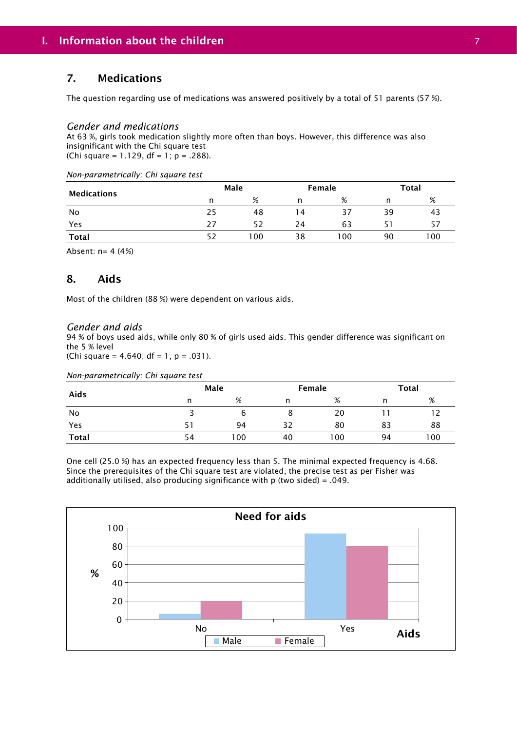### 7. Medications

The question regarding use of medications was answered positively by a total of 51 parents (57 %).

#### *Gender and medications*

At 63 %, girls took medication slightly more often than boys. However, this difference was also insignificant with the Chi square test (Chi square = 1.129,  $df = 1$ ;  $p = .288$ ).

| Non-parametrically: Chi square test |  |  |  |  |
|-------------------------------------|--|--|--|--|
|-------------------------------------|--|--|--|--|

| <b>Medications</b> |    | Male |    | Female |    | Total |
|--------------------|----|------|----|--------|----|-------|
|                    | n  | %    |    | %      |    | %     |
| No                 | 25 | 48   | 14 | 37     | 39 | 43    |
| Yes                | 27 | 52   | 24 | 63     | 51 | 57    |
| Total              | 52 | 100  | 38 | 100    | 90 | 100   |

Absent: n= 4 (4 %)

### 8. Aids

Most of the children (88 %) were dependent on various aids.

#### *Gender and aids*

94 % of boys used aids, while only 80 % of girls used aids. This gender difference was significant on the 5 % level

(Chi square =  $4.640$ ; df =  $1, p = .031$ ).

*Non-parametrically: Chi square test*

|              |    | Male |    | Female |    | <b>Total</b> |
|--------------|----|------|----|--------|----|--------------|
| Aids         | n  | %    | n  | %      | n  | %            |
| No           |    | O    |    | 20     |    |              |
| Yes          |    | 94   | 32 | 80     | 83 | 88           |
| <b>Total</b> | 54 | 100  | 40 | 100    | 94 | 100          |

One cell (25.0 %) has an expected frequency less than 5. The minimal expected frequency is 4.68. Since the prerequisites of the Chi square test are violated, the precise test as per Fisher was additionally utilised, also producing significance with p (two sided) = .049.

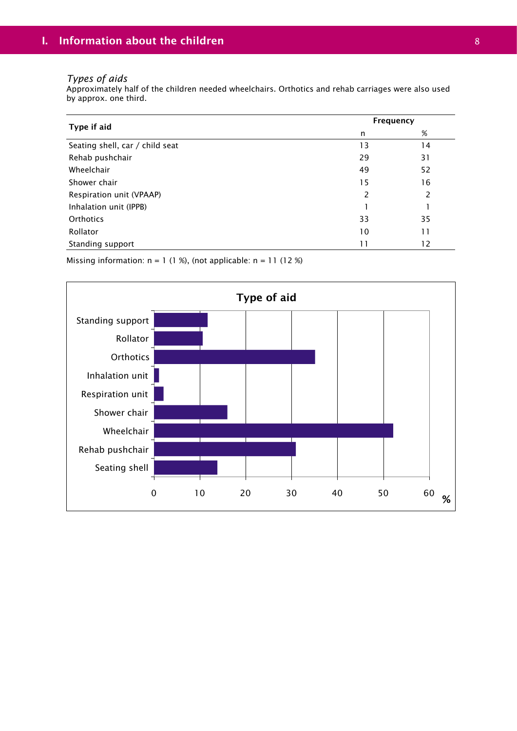#### *Types of aids*

Approximately half of the children needed wheelchairs. Orthotics and rehab carriages were also used by approx. one third.

|                                 | Frequency     |    |  |
|---------------------------------|---------------|----|--|
| Type if aid                     | n             | %  |  |
| Seating shell, car / child seat | 13            | 14 |  |
| Rehab pushchair                 | 29            | 31 |  |
| Wheelchair                      | 49            | 52 |  |
| Shower chair                    | 15            | 16 |  |
| Respiration unit (VPAAP)        | $\mathcal{P}$ | 2  |  |
| Inhalation unit (IPPB)          |               |    |  |
| Orthotics                       | 33            | 35 |  |
| Rollator                        | 10            | 11 |  |
| Standing support                | 11            | 12 |  |

Missing information:  $n = 1$  (1 %), (not applicable:  $n = 11$  (12 %)

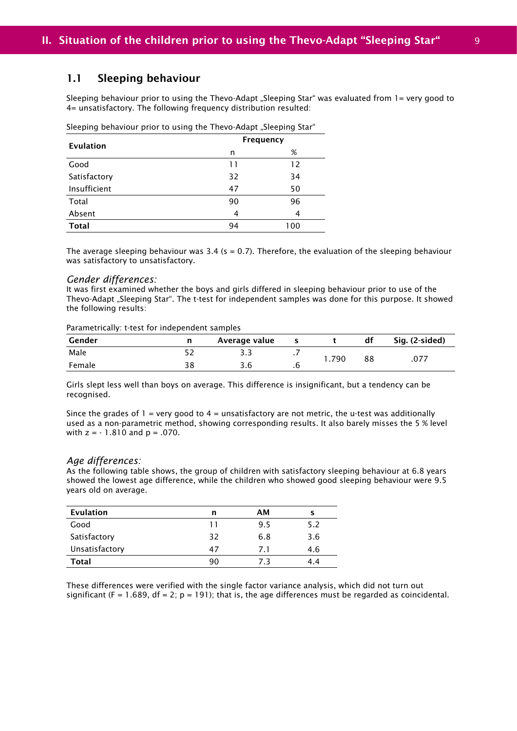#### 1.1 Sleeping behaviour

Sleeping behaviour prior to using the Thevo-Adapt "Sleeping Star" was evaluated from 1= very good to 4= unsatisfactory. The following frequency distribution resulted:

Sleeping behaviour prior to using the Thevo-Adapt "Sleeping Star"

| <b>Evulation</b> | Frequency |     |  |  |
|------------------|-----------|-----|--|--|
|                  | n         | %   |  |  |
| Good             | 11        | 12  |  |  |
| Satisfactory     | 32        | 34  |  |  |
| Insufficient     | 47        | 50  |  |  |
| Total            | 90        | 96  |  |  |
| Absent           | 4         | 4   |  |  |
| <b>Total</b>     | 94        | 100 |  |  |

The average sleeping behaviour was 3.4 ( $s = 0.7$ ). Therefore, the evaluation of the sleeping behaviour was satisfactory to unsatisfactory.

#### *Gender differences:*

It was first examined whether the boys and girls differed in sleeping behaviour prior to use of the Thevo-Adapt "Sleeping Star". The t-test for independent samples was done for this purpose. It showed the following results:

#### Parametrically: t-test for independent samples

| Gender | n  | Average value |     |       | df | Sig. (2-sided) |
|--------|----|---------------|-----|-------|----|----------------|
| Male   |    |               | . . | 1.790 | 88 |                |
| Female | 38 | 3.6           | . ხ |       |    | .077           |

Girls slept less well than boys on average. This difference is insignificant, but a tendency can be recognised.

Since the grades of  $1 =$  very good to  $4 =$  unsatisfactory are not metric, the u-test was additionally used as a non-parametric method, showing corresponding results. It also barely misses the 5 % level with  $z = -1.810$  and  $p = .070$ .

#### *Age differences:*

As the following table shows, the group of children with satisfactory sleeping behaviour at 6.8 years showed the lowest age difference, while the children who showed good sleeping behaviour were 9.5 years old on average.

| <b>Evulation</b> | n  | AМ  |     |
|------------------|----|-----|-----|
| Good             | 11 | 9.5 | 5.2 |
| Satisfactory     | 32 | 6.8 | 3.6 |
| Unsatisfactory   | 47 | 71  | 4.6 |
| Total            | 90 | 73  | 4.4 |

These differences were verified with the single factor variance analysis, which did not turn out significant (F = 1.689, df = 2;  $p = 191$ ); that is, the age differences must be regarded as coincidental.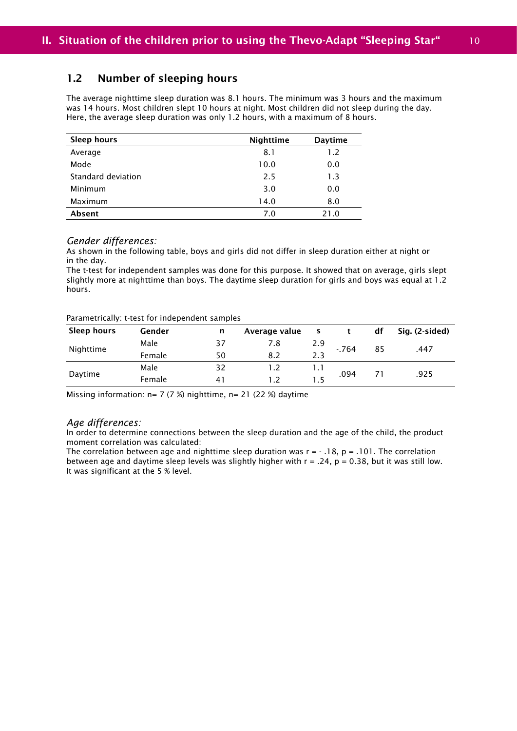### 1.2 Number of sleeping hours

The average nighttime sleep duration was 8.1 hours. The minimum was 3 hours and the maximum was 14 hours. Most children slept 10 hours at night. Most children did not sleep during the day. Here, the average sleep duration was only 1.2 hours, with a maximum of 8 hours.

| <b>Sleep hours</b> | Nighttime | <b>Daytime</b> |
|--------------------|-----------|----------------|
| Average            | 8.1       | 1.2            |
| Mode               | 10.0      | 0.0            |
| Standard deviation | 2.5       | 1.3            |
| Minimum            | 3.0       | 0.0            |
| Maximum            | 14.0      | 8.0            |
| Absent             | 7.0       | 21.0           |

#### *Gender differences:*

As shown in the following table, boys and girls did not differ in sleep duration either at night or in the day.

The t-test for independent samples was done for this purpose. It showed that on average, girls slept slightly more at nighttime than boys. The daytime sleep duration for girls and boys was equal at 1.2 hours.

#### Parametrically: t-test for independent samples

| Sleep hours | Gender | n  | Average value<br>s |              |        | df | Sig. (2-sided) |
|-------------|--------|----|--------------------|--------------|--------|----|----------------|
|             | Male   | 37 | 7.8                | 2.9          | $-764$ |    |                |
| Nighttime   | Female | 50 | 8.2                | 2.3          |        | 85 | .447           |
|             | Male   | 32 |                    | $\mathsf{L}$ |        | 71 | .925           |
| Daytime     | Female | 41 |                    | 15           | .094   |    |                |

Missing information:  $n= 7$  (7 %) nighttime,  $n= 21$  (22 %) daytime

#### *Age differences:*

In order to determine connections between the sleep duration and the age of the child, the product moment correlation was calculated:

The correlation between age and nighttime sleep duration was  $r = -18$ ,  $p = 0.101$ . The correlation between age and daytime sleep levels was slightly higher with  $r = .24$ ,  $p = 0.38$ , but it was still low. It was significant at the 5 % level.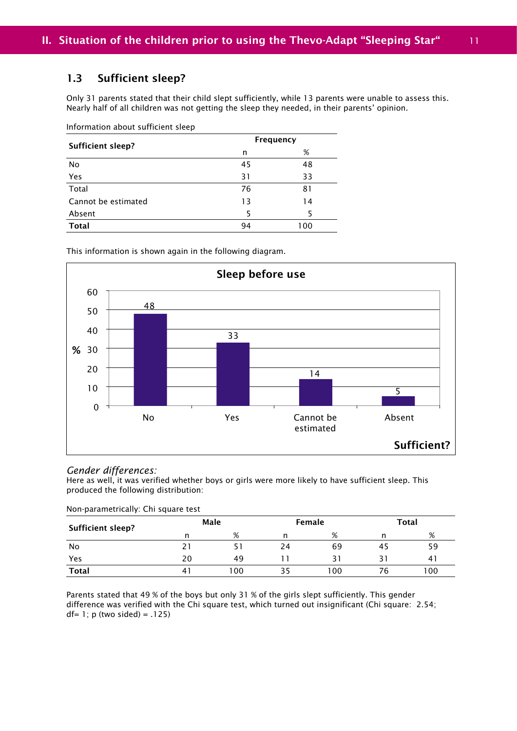### 1.3 Sufficient sleep?

Only 31 parents stated that their child slept sufficiently, while 13 parents were unable to assess this. Nearly half of all children was not getting the sleep they needed, in their parents' opinion.

Information about sufficient sleep

| Sufficient sleep?         |    | Frequency |
|---------------------------|----|-----------|
|                           | n  | %         |
| No                        | 45 | 48        |
| Yes                       | 31 | 33        |
| $\overline{\text{Total}}$ | 76 | 81        |
| Cannot be estimated       | 13 | 14        |
| Absent                    | 5  |           |
| <b>Total</b>              | 94 | 100       |

This information is shown again in the following diagram.



#### *Gender differences:*

Here as well, it was verified whether boys or girls were more likely to have sufficient sleep. This produced the following distribution:

Non-parametrically: Chi square test

| <b>Sufficient sleep?</b> |    | Male |    | Female | <b>Total</b> |     |
|--------------------------|----|------|----|--------|--------------|-----|
|                          | n  | %    |    | %      |              | %   |
| No                       |    |      | 24 | 69     | 45           | 59  |
| Yes                      | 20 | 49   |    | 31     |              | 4   |
| <b>Total</b>             | 4  | 100  |    | 100    | 76           | 100 |

Parents stated that 49 % of the boys but only 31 % of the girls slept sufficiently. This gender difference was verified with the Chi square test, which turned out insignificant (Chi square: 2.54; df=  $1$ ; p (two sided) = .125)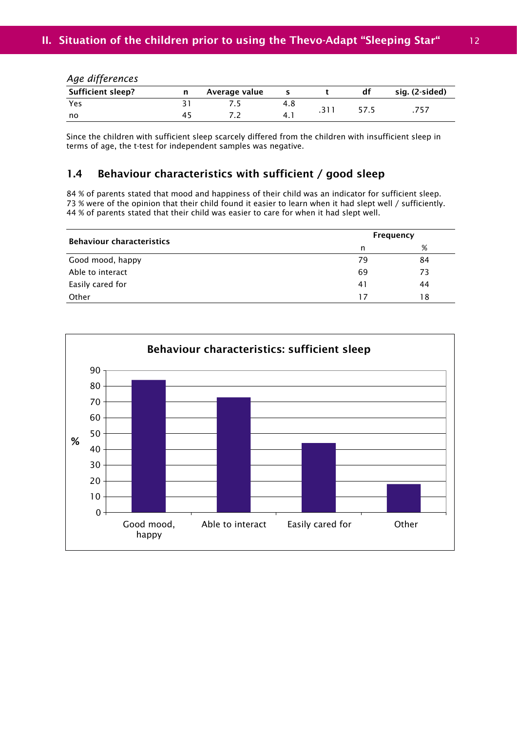| <b>Sufficient sleep?</b> | n | Average value |     | df   | sig. (2-sided) |
|--------------------------|---|---------------|-----|------|----------------|
| Yes                      |   |               | 4.8 |      |                |
| no                       |   |               | 4.  | 57.5 |                |

*Age differences*

Since the children with sufficient sleep scarcely differed from the children with insufficient sleep in terms of age, the t-test for independent samples was negative.

### 1.4 Behaviour characteristics with sufficient / good sleep

84 % of parents stated that mood and happiness of their child was an indicator for sufficient sleep. 73 % were of the opinion that their child found it easier to learn when it had slept well / sufficiently. 44 % of parents stated that their child was easier to care for when it had slept well.

| <b>Behaviour characteristics</b> |    | Frequency |  |  |  |
|----------------------------------|----|-----------|--|--|--|
|                                  | n  | %         |  |  |  |
| Good mood, happy                 | 79 | 84        |  |  |  |
| Able to interact                 | 69 | 73        |  |  |  |
| Easily cared for                 | 41 | 44        |  |  |  |
| Other                            | 17 | 18        |  |  |  |

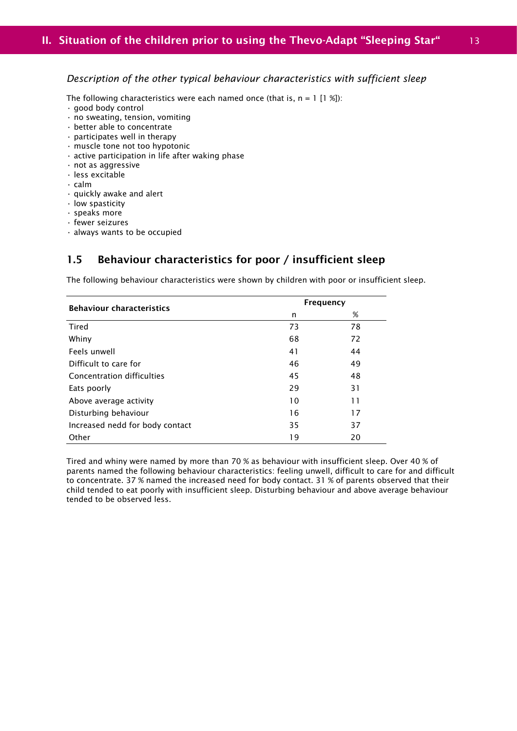#### *Description of the other typical behaviour characteristics with sufficient sleep*

The following characteristics were each named once (that is,  $n = 1$  [1 %]):

- good body control
- no sweating, tension, vomiting
- better able to concentrate
- participates well in therapy
- muscle tone not too hypotonic
- active participation in life after waking phase
- not as aggressive
- less excitable
- calm
- quickly awake and alert
- low spasticity
- speaks more
- fewer seizures
- always wants to be occupied

### 1.5 Behaviour characteristics for poor / insufficient sleep

The following behaviour characteristics were shown by children with poor or insufficient sleep.

| <b>Behaviour characteristics</b> | <b>Frequency</b> |    |  |  |
|----------------------------------|------------------|----|--|--|
|                                  | n                | %  |  |  |
| Tired                            | 73               | 78 |  |  |
| Whiny                            | 68               | 72 |  |  |
| Feels unwell                     | 41               | 44 |  |  |
| Difficult to care for            | 46               | 49 |  |  |
| Concentration difficulties       | 45               | 48 |  |  |
| Eats poorly                      | 29               | 31 |  |  |
| Above average activity           | 10               | 11 |  |  |
| Disturbing behaviour             | 16               | 17 |  |  |
| Increased nedd for body contact  | 35               | 37 |  |  |
| Other                            | 19               | 20 |  |  |

Tired and whiny were named by more than 70 % as behaviour with insufficient sleep. Over 40 % of parents named the following behaviour characteristics: feeling unwell, difficult to care for and difficult to concentrate. 37 % named the increased need for body contact. 31 % of parents observed that their child tended to eat poorly with insufficient sleep. Disturbing behaviour and above average behaviour tended to be observed less.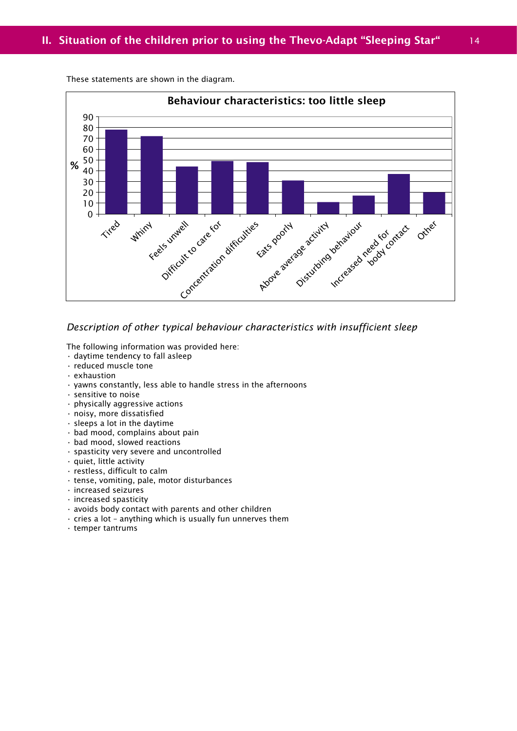

These statements are shown in the diagram.

### *Description of other typical behaviour characteristics with insufficient sleep*

The following information was provided here:

- daytime tendency to fall asleep
- reduced muscle tone
- exhaustion
- yawns constantly, less able to handle stress in the afternoons
- sensitive to noise
- physically aggressive actions
- noisy, more dissatisfied
- sleeps a lot in the daytime
- bad mood, complains about pain
- bad mood, slowed reactions
- spasticity very severe and uncontrolled
- quiet, little activity
- restless, difficult to calm
- tense, vomiting, pale, motor disturbances
- increased seizures
- increased spasticity
- avoids body contact with parents and other children
- $\cdot$  cries a lot anything which is usually fun unnerves them
- temper tantrums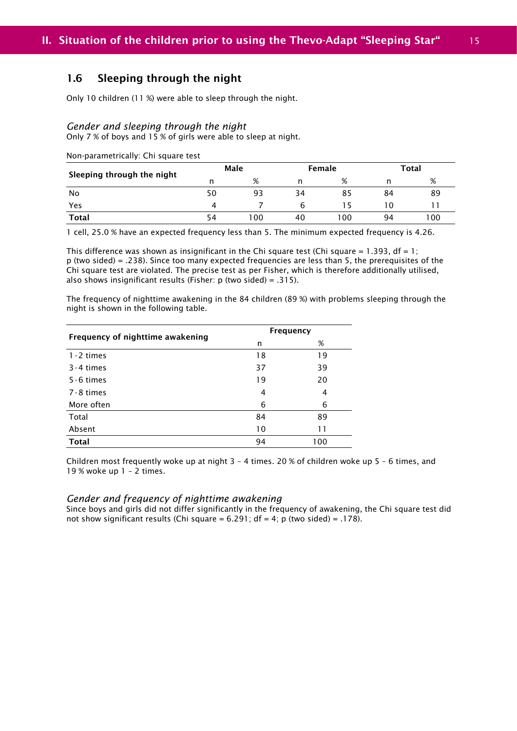### 1.6 Sleeping through the night

Only 10 children (11 %) were able to sleep through the night.

#### *Gender and sleeping through the night*

Only 7 % of boys and 15 % of girls were able to sleep at night.

Non-parametrically: Chi square test

|                            | Male |     |    | Female |     | Total |  |
|----------------------------|------|-----|----|--------|-----|-------|--|
| Sleeping through the night |      | %   |    | %      |     | %     |  |
| No                         | 50   | 93  | 34 | 85     | 84  | 89    |  |
| Yes                        | 4    |     |    |        | - 0 |       |  |
| <b>Total</b>               | 54   | 100 | 40 | 00     | 94  | 100   |  |

1 cell, 25.0 % have an expected frequency less than 5. The minimum expected frequency is 4.26.

This difference was shown as insignificant in the Chi square test (Chi square =  $1.393$ , df =  $1$ ; p (two sided) = .238). Since too many expected frequencies are less than 5, the prerequisites of the Chi square test are violated. The precise test as per Fisher, which is therefore additionally utilised, also shows insignificant results (Fisher:  $p$  (two sided) = .315).

The frequency of nighttime awakening in the 84 children (89 %) with problems sleeping through the night is shown in the following table.

| Frequency of nighttime awakening |    | <b>Frequency</b> |
|----------------------------------|----|------------------|
|                                  | n  | %                |
| $1 - 2$ times                    | 18 | 19               |
| $3 - 4$ times                    | 37 | 39               |
| $5 - 6$ times                    | 19 | 20               |
| 7-8 times                        | 4  | 4                |
| More often                       | 6  | 6                |
| Total                            | 84 | 89               |
| Absent                           | 10 | 11               |
| Total                            | 94 | 100              |

Children most frequently woke up at night 3 – 4 times. 20 % of children woke up 5 – 6 times, and 19 % woke up 1 – 2 times.

#### *Gender and frequency of nighttime awakening*

Since boys and girls did not differ significantly in the frequency of awakening, the Chi square test did not show significant results (Chi square =  $6.291$ ; df =  $4$ ; p (two sided) = .178).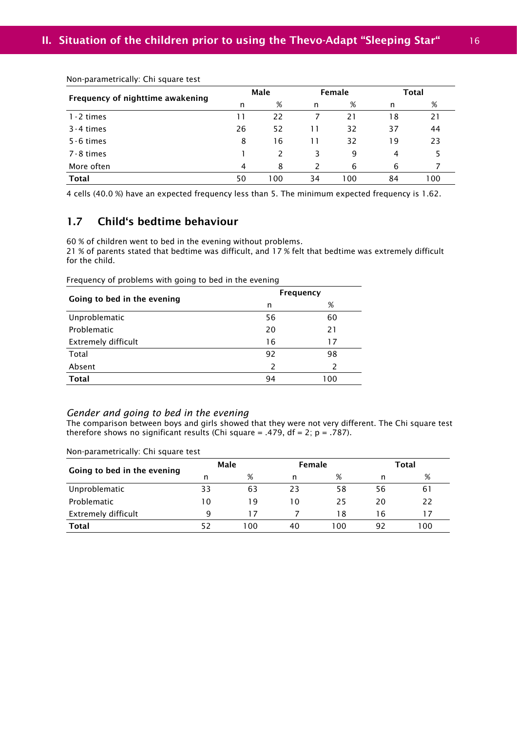| Frequency of nighttime awakening | Male |     |    | Female |    | <b>Total</b> |  |
|----------------------------------|------|-----|----|--------|----|--------------|--|
|                                  | n    | %   | n  | %      | n  | %            |  |
| $1 - 2$ times                    | 11   | 22  |    | 21     | 18 | 21           |  |
| $3 - 4$ times                    | 26   | 52  | 11 | 32     | 37 | 44           |  |
| $5 - 6$ times                    | 8    | 16  | 11 | 32     | 19 | 23           |  |
| 7-8 times                        |      |     | 3  | 9      | 4  |              |  |
| More often                       | 4    | 8   |    | 6      | 6  |              |  |
| <b>Total</b>                     | 50   | 100 | 34 | 100    | 84 | 100          |  |

Non-parametrically: Chi square test

4 cells (40.0 %) have an expected frequency less than 5. The minimum expected frequency is 1.62.

### 1.7 Child's bedtime behaviour

60 % of children went to bed in the evening without problems.

21 % of parents stated that bedtime was difficult, and 17 % felt that bedtime was extremely difficult for the child.

Frequency of problems with going to bed in the evening

| Going to bed in the evening | <b>Frequency</b> |               |  |  |
|-----------------------------|------------------|---------------|--|--|
|                             | n                | %             |  |  |
| Unproblematic               | 56               | 60            |  |  |
| Problematic                 | 20               | 21            |  |  |
| <b>Extremely difficult</b>  | 16               | 17            |  |  |
| Total                       | 92               | 98            |  |  |
| Absent                      | 2                | $\mathcal{P}$ |  |  |
| <b>Total</b>                | 94               | 100           |  |  |

#### *Gender and going to bed in the evening*

The comparison between boys and girls showed that they were not very different. The Chi square test therefore shows no significant results (Chi square = .479,  $df = 2$ ;  $p = .787$ ).

| Going to bed in the evening | Male         |     | Female |     |    | <b>Total</b> |
|-----------------------------|--------------|-----|--------|-----|----|--------------|
|                             | n            | %   | n      | %   |    | %            |
| Unproblematic               | 33           | 63  | 23     | 58  | 56 | 61           |
| <b>Problematic</b>          | $10^{\circ}$ | 19  | 10     | 25  | 20 | 22           |
| <b>Extremely difficult</b>  | q            | 17  |        | 18  | 16 | 17           |
| <b>Total</b>                | 52           | 100 | 40     | 100 | 92 | 100          |

Non-parametrically: Chi square test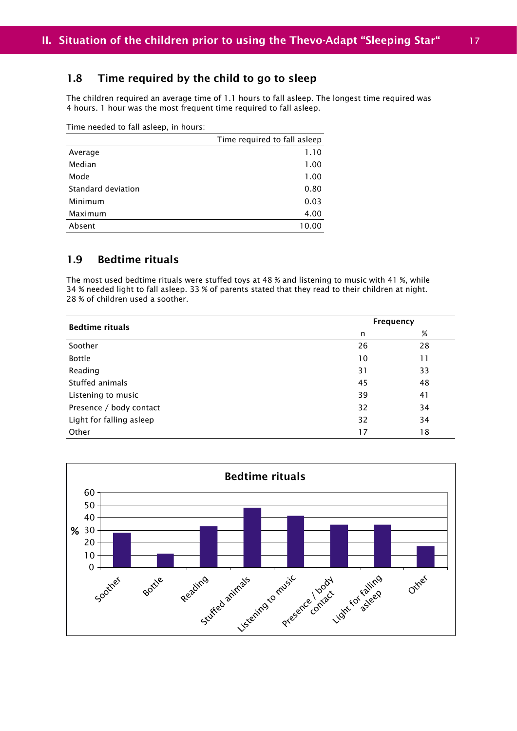### 1.8 Time required by the child to go to sleep

The children required an average time of 1.1 hours to fall asleep. The longest time required was 4 hours. 1 hour was the most frequent time required to fall asleep.

Time needed to fall asleep, in hours:

|                    | Time required to fall asleep |
|--------------------|------------------------------|
| Average            | 1.10                         |
| Median             | 1.00                         |
| Mode               | 1.00                         |
| Standard deviation | 0.80                         |
| Minimum            | 0.03                         |
| Maximum            | 4.00                         |
| Absent             | 10.00                        |

### 1.9 Bedtime rituals

The most used bedtime rituals were stuffed toys at 48 % and listening to music with 41 %, while 34 % needed light to fall asleep. 33 % of parents stated that they read to their children at night. 28 % of children used a soother.

| <b>Bedtime rituals</b>   | Frequency |      |  |
|--------------------------|-----------|------|--|
|                          | n         | $\%$ |  |
| Soother                  | 26        | 28   |  |
| <b>Bottle</b>            | 10        | 11   |  |
| Reading                  | 31        | 33   |  |
| Stuffed animals          | 45        | 48   |  |
| Listening to music       | 39        | 41   |  |
| Presence / body contact  | 32        | 34   |  |
| Light for falling asleep | 32        | 34   |  |
| Other                    | 17        | 18   |  |

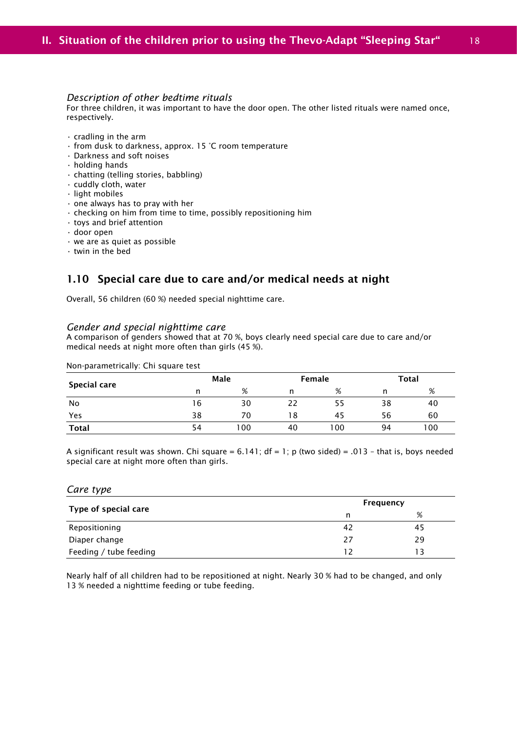#### *Description of other bedtime rituals*

For three children, it was important to have the door open. The other listed rituals were named once, respectively.

- cradling in the arm
- from dusk to darkness, approx. 15 °C room temperature
- Darkness and soft noises
- holding hands
- chatting (telling stories, babbling)
- cuddly cloth, water
- light mobiles
- one always has to pray with her
- checking on him from time to time, possibly repositioning him
- toys and brief attention
- door open
- we are as quiet as possible
- twin in the bed

### 1.10 Special care due to care and/or medical needs at night

Overall, 56 children (60 %) needed special nighttime care.

#### *Gender and special nighttime care*

A comparison of genders showed that at 70 %, boys clearly need special care due to care and/or medical needs at night more often than girls (45 %).

| Special care |    | Male |    | Female |    | Total |
|--------------|----|------|----|--------|----|-------|
|              | n  | %    | n  | %      | n  | %     |
| No           | 16 | 30   | 22 | 55     | 38 | 40    |
| Yes          | 38 | 70   | 18 | 45     | 56 | 60    |
| Total        | 54 | 100  | 40 | 100    | 94 | 100   |

A significant result was shown. Chi square =  $6.141$ ; df =  $1$ ; p (two sided) = .013 - that is, boys needed special care at night more often than girls.

#### *Care type*

|                        |    | Frequency |  |  |
|------------------------|----|-----------|--|--|
| Type of special care   | n  | %         |  |  |
| Repositioning          | 42 | 45        |  |  |
| Diaper change          | 27 | 29        |  |  |
| Feeding / tube feeding | 17 |           |  |  |

Nearly half of all children had to be repositioned at night. Nearly 30 % had to be changed, and only 13 % needed a nighttime feeding or tube feeding.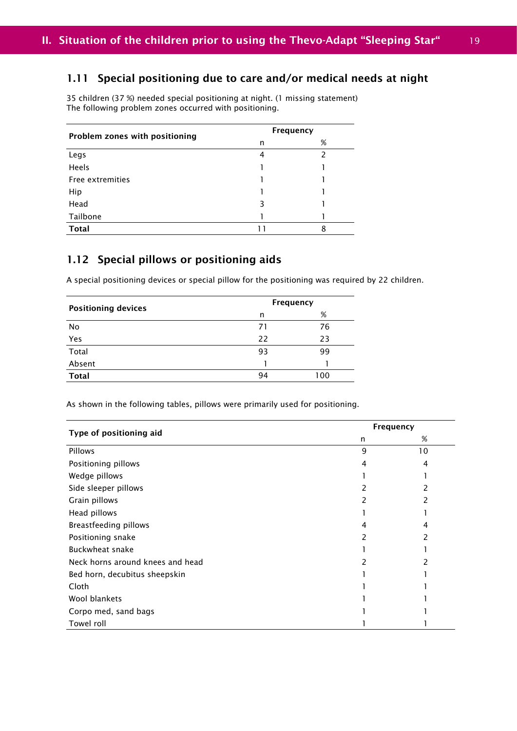### 1.11 Special positioning due to care and/or medical needs at night

35 children (37 %) needed special positioning at night. (1 missing statement) The following problem zones occurred with positioning.

| Problem zones with positioning | Frequency |   |  |
|--------------------------------|-----------|---|--|
|                                | n         | % |  |
| Legs                           | 4         | 2 |  |
| Heels                          |           |   |  |
| Free extremities               |           |   |  |
| Hip                            |           |   |  |
| Head                           | ξ         |   |  |
| Tailbone                       |           |   |  |
| <b>Total</b>                   | 11        | 8 |  |

### 1.12 Special pillows or positioning aids

A special positioning devices or special pillow for the positioning was required by 22 children.

| <b>Positioning devices</b> | Frequency |     |
|----------------------------|-----------|-----|
|                            | n         | %   |
| No                         | 71        | 76  |
| Yes                        | 22        | 23  |
| Total                      | 93        | 99  |
| Absent                     |           |     |
| <b>Total</b>               | 94        | 100 |
|                            |           |     |

As shown in the following tables, pillows were primarily used for positioning.

| Type of positioning aid          | Frequency |    |
|----------------------------------|-----------|----|
|                                  | n         | %  |
| Pillows                          | 9         | 10 |
| Positioning pillows              | 4         | 4  |
| Wedge pillows                    |           |    |
| Side sleeper pillows             | 2         |    |
| Grain pillows                    |           |    |
| Head pillows                     |           |    |
| Breastfeeding pillows            | 4         | 4  |
| Positioning snake                | 2         | 2  |
| Buckwheat snake                  |           |    |
| Neck horns around knees and head |           |    |
| Bed horn, decubitus sheepskin    |           |    |
| Cloth                            |           |    |
| Wool blankets                    |           |    |
| Corpo med, sand bags             |           |    |
| Towel roll                       |           |    |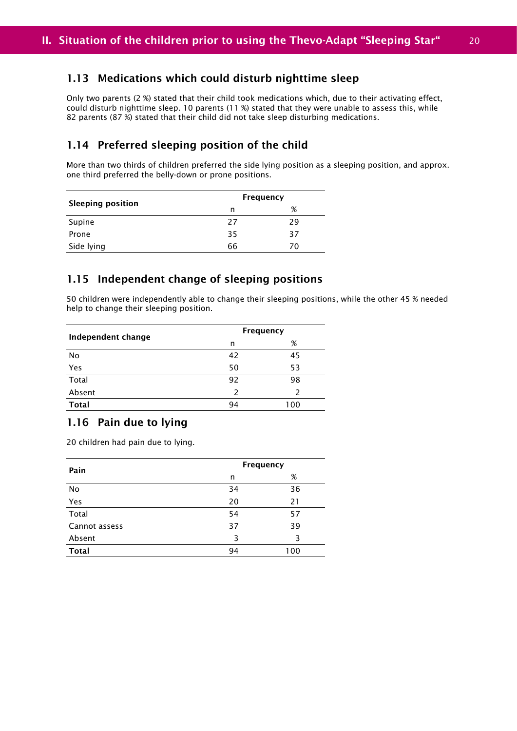### 1.13 Medications which could disturb nighttime sleep

Only two parents (2 %) stated that their child took medications which, due to their activating effect, could disturb nighttime sleep. 10 parents (11 %) stated that they were unable to assess this, while 82 parents (87 %) stated that their child did not take sleep disturbing medications.

### 1.14 Preferred sleeping position of the child

More than two thirds of children preferred the side lying position as a sleeping position, and approx. one third preferred the belly-down or prone positions.

| <b>Sleeping position</b> |    | Frequency |
|--------------------------|----|-----------|
|                          | n  | %         |
| Supine                   | 27 | 29        |
| Prone                    | 35 | 37        |
| Side lying               | 66 | 70        |

### 1.15 Independent change of sleeping positions

50 children were independently able to change their sleeping positions, while the other 45 % needed help to change their sleeping position.

| Independent change | Frequency |     |  |
|--------------------|-----------|-----|--|
|                    | n         | %   |  |
| No                 | 42        | 45  |  |
| Yes<br>Total       | 50        | 53  |  |
|                    | 92        | 98  |  |
| Absent             | 2         |     |  |
| <b>Total</b>       | 94        | 100 |  |

### 1.16 Pain due to lying

20 children had pain due to lying.

| Pain          | Frequency |     |  |
|---------------|-----------|-----|--|
|               | n         | %   |  |
| No            | 34        | 36  |  |
| Yes           | 20        | 21  |  |
| Total         | 54        | 57  |  |
| Cannot assess | 37        | 39  |  |
| Absent        | З         | 3   |  |
| <b>Total</b>  | 94        | 100 |  |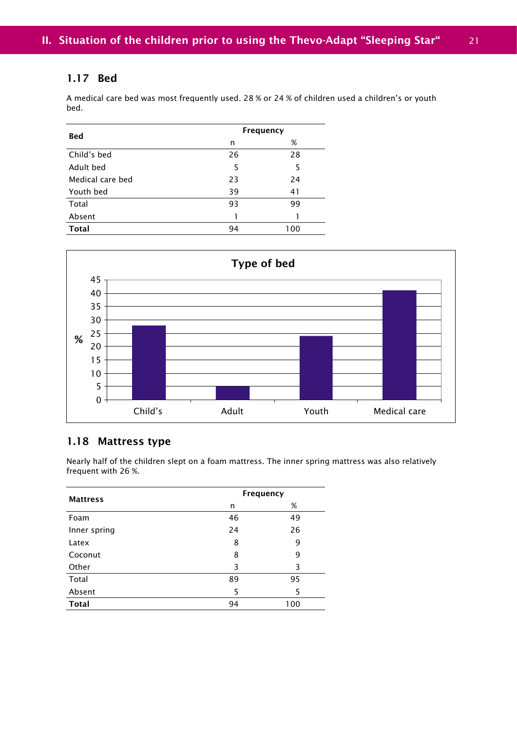### 1.17 Bed

A medical care bed was most frequently used. 28 % or 24 % of children used a children's or youth bed.

|                  |    | Frequency |
|------------------|----|-----------|
| <b>Bed</b>       | n  | %         |
| Child's bed      | 26 | 28        |
| Adult bed        | 5  | 5         |
| Medical care bed | 23 | 24        |
| Youth bed        | 39 | 41        |
| Total            | 93 | 99        |
| Absent           |    |           |
| <b>Total</b>     | 94 | 100       |



### 1.18 Mattress type

Nearly half of the children slept on a foam mattress. The inner spring mattress was also relatively frequent with 26 %.

| <b>Mattress</b> |    | Frequency |
|-----------------|----|-----------|
|                 | n  | %         |
| Foam            | 46 | 49        |
| Inner spring    | 24 | 26        |
| Latex           | 8  | 9         |
| Coconut         | 8  | 9         |
| Other           | 3  | 3         |
| Total           | 89 | 95        |
| Absent          | 5  | 5         |
| <b>Total</b>    | 94 | 100       |
|                 |    |           |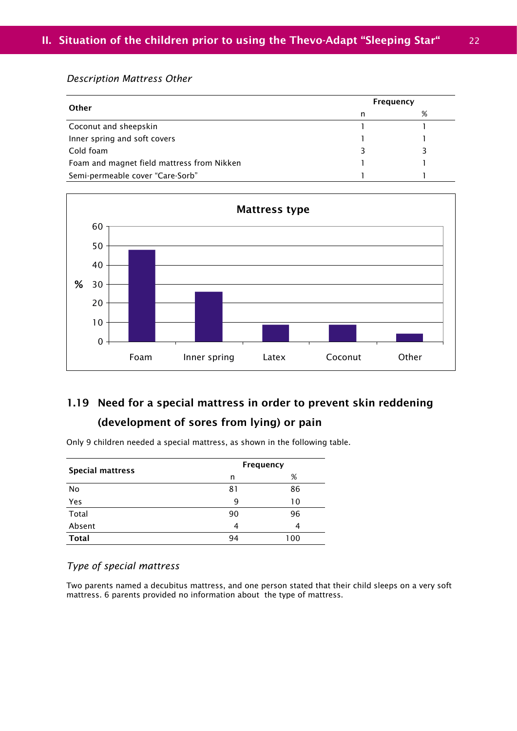#### *Description Mattress Other*

| Other                                      |    | Frequency |
|--------------------------------------------|----|-----------|
|                                            | n  | %         |
| Coconut and sheepskin                      |    |           |
| Inner spring and soft covers               |    |           |
| Cold foam                                  | 3. |           |
| Foam and magnet field mattress from Nikken |    |           |
| Semi-permeable cover "Care-Sorb"           |    |           |



# 1.19 Need for a special mattress in order to prevent skin reddening (development of sores from lying) or pain

| <b>Special mattress</b> |    | Frequency |
|-------------------------|----|-----------|
|                         | n  | %         |
| No                      | 81 | 86        |
| Yes                     | q  | 10        |
| Total                   | 90 | 96        |
| Absent                  | 4  | 4         |
| <b>Total</b>            | 94 | 100       |

Only 9 children needed a special mattress, as shown in the following table.

### *Type of special mattress*

Two parents named a decubitus mattress, and one person stated that their child sleeps on a very soft mattress. 6 parents provided no information about the type of mattress.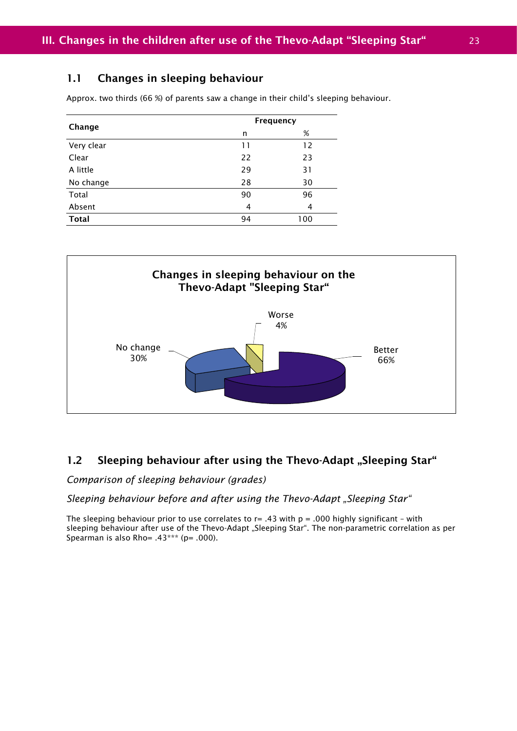### 1.1 Changes in sleeping behaviour

Approx. two thirds (66 %) of parents saw a change in their child's sleeping behaviour.

| Change       | Frequency |     |  |  |
|--------------|-----------|-----|--|--|
|              | n         | %   |  |  |
| Very clear   | 11        | 12  |  |  |
| Clear        | 22        | 23  |  |  |
| A little     | 29        | 31  |  |  |
| No change    | 28        | 30  |  |  |
| Total        | 90        | 96  |  |  |
| Absent       | 4         | 4   |  |  |
| <b>Total</b> | 94        | 100 |  |  |



### 1.2 Sleeping behaviour after using the Thevo-Adapt "Sleeping Star"

*Comparison of sleeping behaviour (grades)*

*Sleeping behaviour before and after using the Thevo-Adapt "Sleeping Star"*

The sleeping behaviour prior to use correlates to  $r = .43$  with  $p = .000$  highly significant – with sleeping behaviour after use of the Thevo-Adapt "Sleeping Star". The non-parametric correlation as per Spearman is also Rho=  $.43***$  (p=  $.000$ ).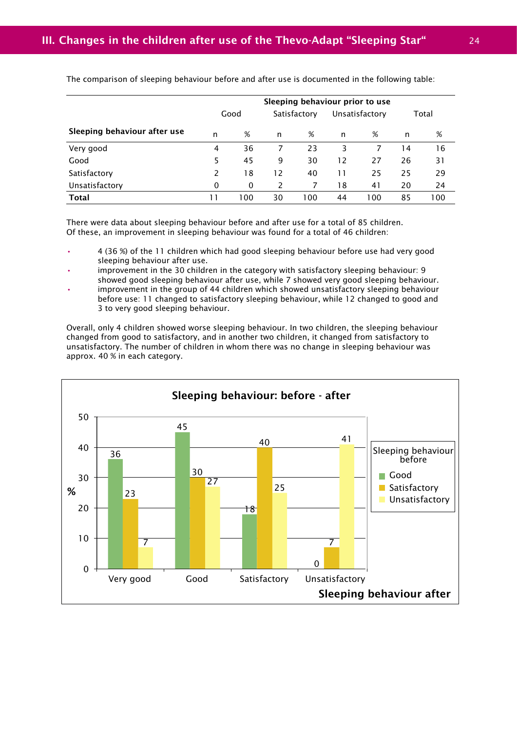|                              | Sleeping behaviour prior to use |      |    |              |    |                |    |       |
|------------------------------|---------------------------------|------|----|--------------|----|----------------|----|-------|
|                              |                                 | Good |    | Satisfactory |    | Unsatisfactory |    | Total |
| Sleeping behaviour after use | n                               | %    | n  | %            | n  | %              | n  | %     |
| Very good                    | 4                               | 36   |    | 23           | 3  |                | 14 | 16    |
| Good                         | 5                               | 45   | 9  | 30           | 12 | 27             | 26 | 31    |
| Satisfactory                 | $\mathcal{P}$                   | 18   | 12 | 40           | 11 | 25             | 25 | 29    |
| Unsatisfactory               | $\Omega$                        | 0    | 2  |              | 18 | 41             | 20 | 24    |
| <b>Total</b>                 | 11                              | 100  | 30 | 00           | 44 | 100            | 85 | 100   |

The comparison of sleeping behaviour before and after use is documented in the following table:

There were data about sleeping behaviour before and after use for a total of 85 children. Of these, an improvement in sleeping behaviour was found for a total of 46 children:

- 4 (36 %) of the 11 children which had good sleeping behaviour before use had very good sleeping behaviour after use.
- improvement in the 30 children in the category with satisfactory sleeping behaviour: 9 showed good sleeping behaviour after use, while 7 showed very good sleeping behaviour.
- improvement in the group of 44 children which showed unsatisfactory sleeping behaviour before use: 11 changed to satisfactory sleeping behaviour, while 12 changed to good and 3 to very good sleeping behaviour.

Overall, only 4 children showed worse sleeping behaviour. In two children, the sleeping behaviour changed from good to satisfactory, and in another two children, it changed from satisfactory to unsatisfactory. The number of children in whom there was no change in sleeping behaviour was approx. 40 % in each category.

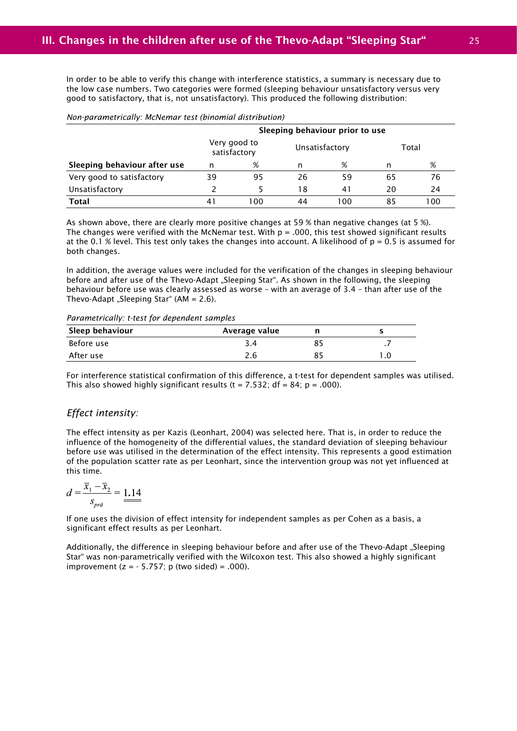In order to be able to verify this change with interference statistics, a summary is necessary due to the low case numbers. Two categories were formed (sleeping behaviour unsatisfactory versus very good to satisfactory, that is, not unsatisfactory). This produced the following distribution:

#### *Non-parametrically: McNemar test (binomial distribution)*

|                              | Sleeping behaviour prior to use |     |                |     |       |     |
|------------------------------|---------------------------------|-----|----------------|-----|-------|-----|
|                              | Very good to<br>satisfactory    |     | Unsatisfactory |     | Total |     |
| Sleeping behaviour after use | n                               | %   | n              | %   | n     | %   |
| Very good to satisfactory    | 39                              | 95  | 26             | 59  | 65    | 76  |
| Unsatisfactory               |                                 |     | 18             | 41  | 20    | 24  |
| Total                        |                                 | 100 | 44             | 100 | 85    | 100 |

As shown above, there are clearly more positive changes at 59 % than negative changes (at 5 %). The changes were verified with the McNemar test. With  $p = .000$ , this test showed significant results at the 0.1 % level. This test only takes the changes into account. A likelihood of  $p = 0.5$  is assumed for both changes.

In addition, the average values were included for the verification of the changes in sleeping behaviour before and after use of the Thevo-Adapt "Sleeping Star". As shown in the following, the sleeping behaviour before use was clearly assessed as worse – with an average of 3.4 – than after use of the Thevo-Adapt "Sleeping Star" (AM =  $2.6$ ).

*Parametrically: t-test for dependent samples*

| Sleep behaviour | Average value |  |
|-----------------|---------------|--|
| Before use      |               |  |
| After use       | 2.6           |  |

For interference statistical confirmation of this difference, a t-test for dependent samples was utilised. This also showed highly significant results ( $t = 7.532$ ; df = 84; p = .000).

#### *Effect intensity:*

The effect intensity as per Kazis (Leonhart, 2004) was selected here. That is, in order to reduce the influence of the homogeneity of the differential values, the standard deviation of sleeping behaviour before use was utilised in the determination of the effect intensity. This represents a good estimation of the population scatter rate as per Leonhart, since the intervention group was not yet influenced at this time.

$$
d = \frac{\overline{x}_1 - \overline{x}_2}{s_{\text{prä}}} = \underline{1.14}
$$

If one uses the division of effect intensity for independent samples as per Cohen as a basis, a significant effect results as per Leonhart.

Additionally, the difference in sleeping behaviour before and after use of the Thevo-Adapt "Sleeping Star" was non-parametrically verified with the Wilcoxon test. This also showed a highly significant improvement  $(z = -5.757; p$  (two sided) = .000).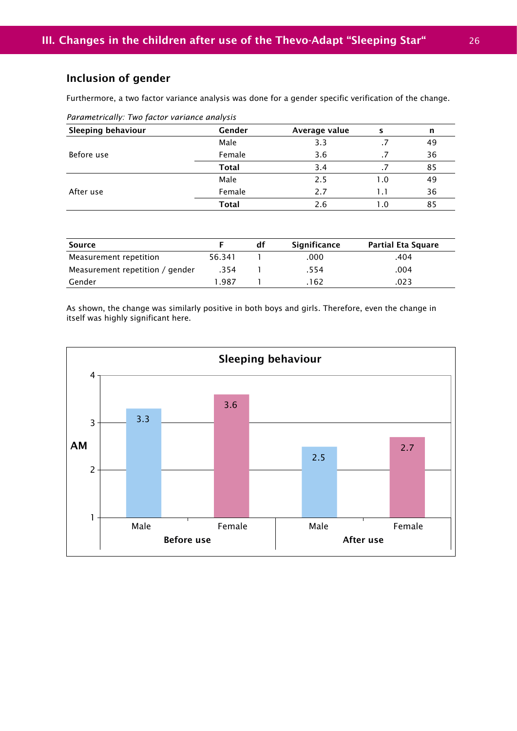## Inclusion of gender

Furthermore, a two factor variance analysis was done for a gender specific verification of the change.

| <b>Sleeping behaviour</b> | Gender       | Average value | s   | n  |
|---------------------------|--------------|---------------|-----|----|
|                           | Male         | 3.3           |     | 49 |
| Before use                | Female       | 3.6           |     | 36 |
|                           | <b>Total</b> | 3.4           |     | 85 |
|                           | Male         | 2.5           | 1.0 | 49 |
| After use                 | Female       | 2.7           | 1.1 | 36 |
|                           | <b>Total</b> | 2.6           | 1.0 | 85 |

| Parametrically: Two factor variance analysis |  |  |  |
|----------------------------------------------|--|--|--|
|                                              |  |  |  |

| Source                          |        | df | Significance | <b>Partial Eta Square</b> |
|---------------------------------|--------|----|--------------|---------------------------|
| Measurement repetition          | 56.341 |    | .000         | .404                      |
| Measurement repetition / gender | .354   |    | .554         | .004                      |
| Gender                          | ⊟987   |    | .162         | .023                      |

As shown, the change was similarly positive in both boys and girls. Therefore, even the change in itself was highly significant here.

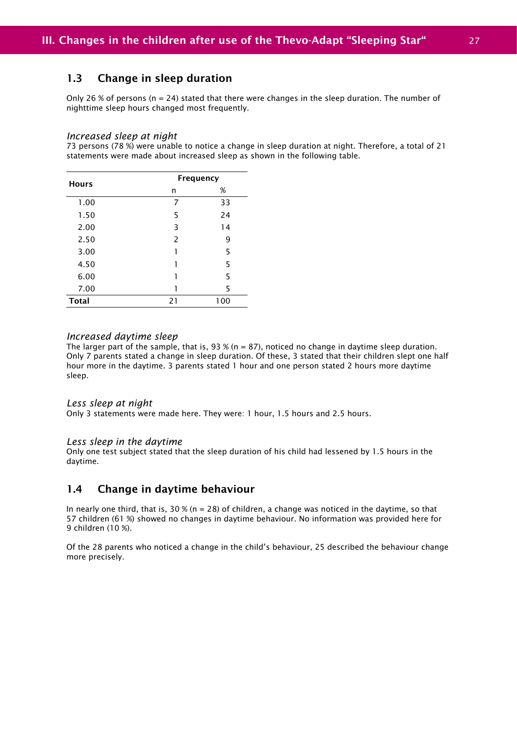### 1.3 Change in sleep duration

Only 26 % of persons ( $n = 24$ ) stated that there were changes in the sleep duration. The number of nighttime sleep hours changed most frequently.

#### *Increased sleep at night*

73 persons (78 %) were unable to notice a change in sleep duration at night. Therefore, a total of 21 statements were made about increased sleep as shown in the following table.

| <b>Hours</b> |    | Frequency |
|--------------|----|-----------|
|              | n  | %         |
| 1.00         | 7  | 33        |
| 1.50         | 5  | 24        |
| 2.00         | 3  | 14        |
| 2.50         | 2  | 9         |
| 3.00         | 1  | 5         |
| 4.50         | 1  | 5         |
| 6.00         | 1  | 5         |
| 7.00         |    | 5         |
| <b>Total</b> | 21 | 100       |

#### *Increased daytime sleep*

The larger part of the sample, that is, 93 % (n = 87), noticed no change in daytime sleep duration. Only 7 parents stated a change in sleep duration. Of these, 3 stated that their children slept one half hour more in the daytime. 3 parents stated 1 hour and one person stated 2 hours more daytime sleep.

#### *Less sleep at night*

Only 3 statements were made here. They were: 1 hour, 1.5 hours and 2.5 hours.

#### *Less sleep in the daytime*

Only one test subject stated that the sleep duration of his child had lessened by 1.5 hours in the daytime.

#### 1.4 Change in daytime behaviour

In nearly one third, that is,  $30\%$  (n = 28) of children, a change was noticed in the daytime, so that 57 children (61 %) showed no changes in daytime behaviour. No information was provided here for 9 children (10 %).

Of the 28 parents who noticed a change in the child's behaviour, 25 described the behaviour change more precisely.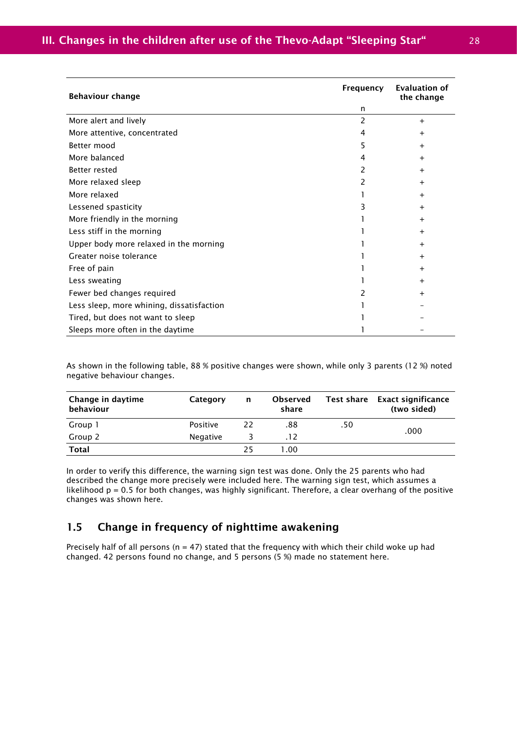| <b>Behaviour change</b>                   | Frequency | <b>Evaluation of</b><br>the change |
|-------------------------------------------|-----------|------------------------------------|
|                                           | n         |                                    |
| More alert and lively                     | 2         | $^{+}$                             |
| More attentive, concentrated              | 4         | +                                  |
| Better mood                               | 5         | +                                  |
| More balanced                             | 4         | $\ddot{}$                          |
| Better rested                             | 2         | $\pm$                              |
| More relaxed sleep                        | 2         |                                    |
| More relaxed                              |           | $^{+}$                             |
| Lessened spasticity                       | 3         | $\pm$                              |
| More friendly in the morning              |           | $\pm$                              |
| Less stiff in the morning                 |           | +                                  |
| Upper body more relaxed in the morning    |           |                                    |
| Greater noise tolerance                   |           | $\pm$                              |
| Free of pain                              |           | +                                  |
| Less sweating                             |           | $\ddot{}$                          |
| Fewer bed changes required                |           | +                                  |
| Less sleep, more whining, dissatisfaction |           |                                    |
| Tired, but does not want to sleep         |           |                                    |
| Sleeps more often in the daytime          |           |                                    |

As shown in the following table, 88 % positive changes were shown, while only 3 parents (12 %) noted negative behaviour changes.

| Change in daytime<br>behaviour | Category | n  | <b>Observed</b><br>share |     | Test share Exact significance<br>(two sided) |
|--------------------------------|----------|----|--------------------------|-----|----------------------------------------------|
| Group 1                        | Positive | 22 | .88                      | .50 | .000                                         |
| Group 2                        | Negative |    | .12                      |     |                                              |
| <b>Total</b>                   |          | 25 | 1.00                     |     |                                              |

In order to verify this difference, the warning sign test was done. Only the 25 parents who had described the change more precisely were included here. The warning sign test, which assumes a likelihood p = 0.5 for both changes, was highly significant. Therefore, a clear overhang of the positive changes was shown here.

### 1.5 Change in frequency of nighttime awakening

Precisely half of all persons ( $n = 47$ ) stated that the frequency with which their child woke up had changed. 42 persons found no change, and 5 persons (5 %) made no statement here.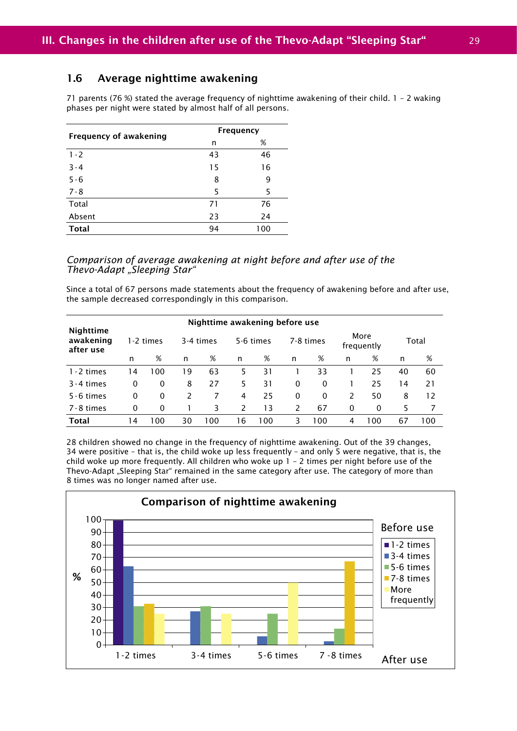### 1.6 Average nighttime awakening

71 parents (76 %) stated the average frequency of nighttime awakening of their child. 1 – 2 waking phases per night were stated by almost half of all persons.

| <b>Frequency of awakening</b> | Frequency |     |  |  |
|-------------------------------|-----------|-----|--|--|
|                               | n         | %   |  |  |
| $1 - 2$                       | 43        | 46  |  |  |
| $3 - 4$                       | 15        | 16  |  |  |
| $5 - 6$                       | 8         | 9   |  |  |
| $7 - 8$                       | 5         | 5   |  |  |
| Total                         | 71        | 76  |  |  |
| Absent                        | 23        | 24  |  |  |
| <b>Total</b>                  | 94        | 100 |  |  |

#### *Comparison of average awakening at night before and after use of the Thevo-Adapt "Sleeping Star"*

Since a total of 67 persons made statements about the frequency of awakening before and after use, the sample decreased correspondingly in this comparison.

|                                            |     |          |    | Nighttime awakening before use |    |           |          |           |   |                    |     |       |
|--------------------------------------------|-----|----------|----|--------------------------------|----|-----------|----------|-----------|---|--------------------|-----|-------|
| <b>Nighttime</b><br>awakening<br>after use |     | -2 times |    | 3-4 times                      |    | 5-6 times |          | 7-8 times |   | More<br>frequently |     | Total |
|                                            | n   | %        | n  | %                              | n  | %         | n        | %         | n | %                  | n   | %     |
| $1 - 2$ times                              | ۱4  | 100      | 19 | 63                             | 5  | 31        |          | 33        |   | 25                 | 40  | 60    |
| $3 - 4$ times                              | 0   | 0        | 8  | 27                             | 5. | 31        | $\Omega$ | 0         |   | 25                 | ا 4 | 21    |
| $5 - 6$ times                              | 0   | $\Omega$ | 2  | 7                              | 4  | 25        | $\Omega$ | $\Omega$  | 2 | 50                 | 8   | 12    |
| 7-8 times                                  | 0   | 0        |    | 3                              | 2  | 13        | 2        | 67        | 0 | 0                  | 5   |       |
| <b>Total</b>                               | ا 4 | 100      | 30 | 100                            | 16 | 100       | 3        | 100       | 4 | 100                | 67  | 100   |

28 children showed no change in the frequency of nighttime awakening. Out of the 39 changes, 34 were positive – that is, the child woke up less frequently – and only 5 were negative, that is, the child woke up more frequently. All children who woke up  $1 - 2$  times per night before use of the Thevo-Adapt "Sleeping Star" remained in the same category after use. The category of more than 8 times was no longer named after use.

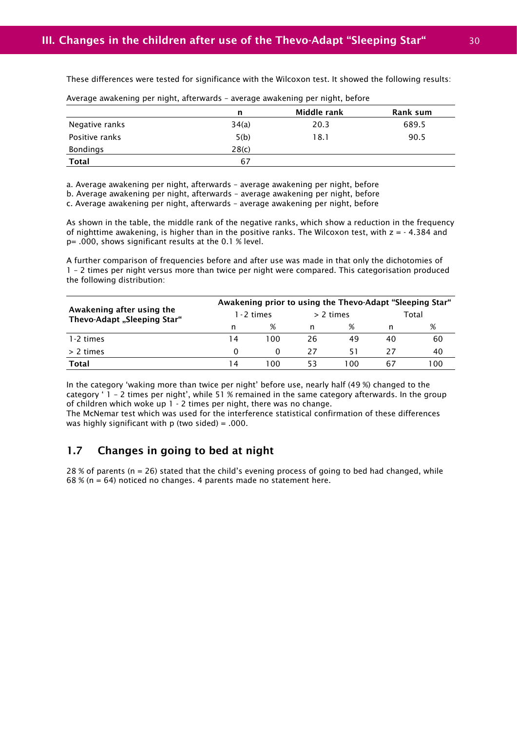These differences were tested for significance with the Wilcoxon test. It showed the following results:

|                 | n     | Middle rank | Rank sum |
|-----------------|-------|-------------|----------|
| Negative ranks  | 34(a) | 20.3        | 689.5    |
| Positive ranks  | 5(b)  | 18.1        | 90.5     |
| <b>Bondings</b> | 28(c) |             |          |
| <b>Total</b>    | 67    |             |          |

Average awakening per night, afterwards – average awakening per night, before

a. Average awakening per night, afterwards – average awakening per night, before

b. Average awakening per night, afterwards – average awakening per night, before

c. Average awakening per night, afterwards – average awakening per night, before

As shown in the table, the middle rank of the negative ranks, which show a reduction in the frequency of nighttime awakening, is higher than in the positive ranks. The Wilcoxon test, with z = - 4.384 and p= .000, shows significant results at the 0.1 % level.

A further comparison of frequencies before and after use was made in that only the dichotomies of 1 – 2 times per night versus more than twice per night were compared. This categorisation produced the following distribution:

|                                                          | Awakening prior to using the Thevo-Adapt "Sleeping Star" |      |             |     |       |     |  |  |
|----------------------------------------------------------|----------------------------------------------------------|------|-------------|-----|-------|-----|--|--|
| Awakening after using the<br>Thevo-Adapt "Sleeping Star" | 1 - 2 times                                              |      | $> 2$ times |     | Total |     |  |  |
|                                                          | n                                                        | ℅    | n           | ℅   |       | %   |  |  |
| 1-2 times                                                | 14                                                       | 100  | 26.         | 49  | 40    | 60  |  |  |
| > 2 times                                                | 0                                                        | 0    | 27          | 51  | 27    | 40  |  |  |
| Total                                                    | l 4                                                      | LO 0 | 53          | 100 | 67    | 100 |  |  |

In the category 'waking more than twice per night' before use, nearly half (49 %) changed to the category ' 1 – 2 times per night', while 51 % remained in the same category afterwards. In the group of children which woke up 1 - 2 times per night, there was no change.

The McNemar test which was used for the interference statistical confirmation of these differences was highly significant with  $p$  (two sided) = .000.

### 1.7 Changes in going to bed at night

28 % of parents ( $n = 26$ ) stated that the child's evening process of going to bed had changed, while  $68\%$  (n = 64) noticed no changes. 4 parents made no statement here.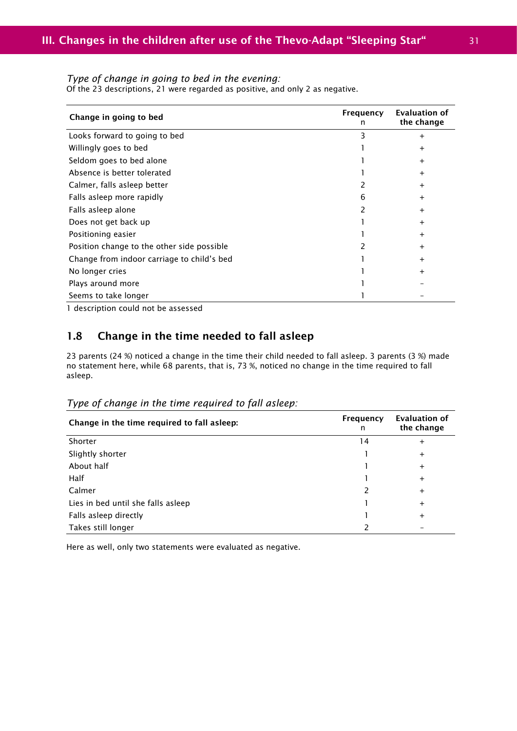#### *Type of change in going to bed in the evening:*

Of the 23 descriptions, 21 were regarded as positive, and only 2 as negative.

| Change in going to bed                     | Frequency<br>n | Evaluation of<br>the change |
|--------------------------------------------|----------------|-----------------------------|
| Looks forward to going to bed              | 3              | $\pm$                       |
| Willingly goes to bed                      |                | $\pm$                       |
| Seldom goes to bed alone                   |                | $\ddot{}$                   |
| Absence is better tolerated                |                | $\ddot{}$                   |
| Calmer, falls asleep better                |                | $\ddot{}$                   |
| Falls asleep more rapidly                  | 6              | $\ddot{}$                   |
| Falls asleep alone                         |                | $\ddot{}$                   |
| Does not get back up                       |                | $\ddot{}$                   |
| Positioning easier                         |                | $\ddot{}$                   |
| Position change to the other side possible |                | $\ddot{}$                   |
| Change from indoor carriage to child's bed |                | $\ddot{}$                   |
| No longer cries                            |                | $\pm$                       |
| Plays around more                          |                |                             |
| Seems to take longer<br>.                  |                |                             |

1 description could not be assessed

### 1.8 Change in the time needed to fall asleep

23 parents (24 %) noticed a change in the time their child needed to fall asleep. 3 parents (3 %) made no statement here, while 68 parents, that is, 73 %, noticed no change in the time required to fall asleep.

| Change in the time required to fall asleep: | Frequency<br>n | <b>Evaluation of</b><br>the change |
|---------------------------------------------|----------------|------------------------------------|
| Shorter                                     | 14             | $\ddot{}$                          |
| Slightly shorter                            |                | $\pm$                              |
| About half                                  |                | $\pm$                              |
| Half                                        |                | $\pm$                              |
| Calmer                                      |                | $\pm$                              |
| Lies in bed until she falls asleep          |                | $\pm$                              |
| Falls asleep directly                       |                | $\pm$                              |
| Takes still longer                          |                |                                    |

#### *Type of change in the time required to fall asleep:*

Here as well, only two statements were evaluated as negative.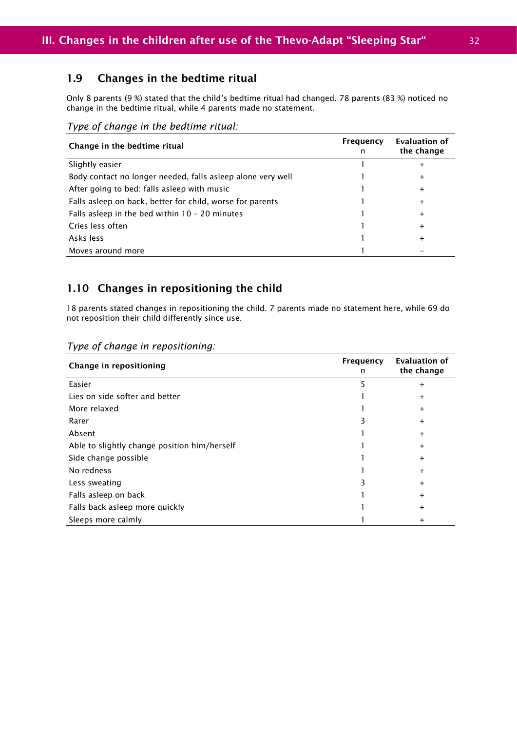### 1.9 Changes in the bedtime ritual

Only 8 parents (9 %) stated that the child's bedtime ritual had changed. 78 parents (83 %) noticed no change in the bedtime ritual, while 4 parents made no statement.

*Type of change in the bedtime ritual:*

| Change in the bedtime ritual                                | Frequency<br>n | Evaluation of<br>the change |
|-------------------------------------------------------------|----------------|-----------------------------|
| Slightly easier                                             |                | +                           |
| Body contact no longer needed, falls asleep alone very well |                | +                           |
| After going to bed: falls asleep with music                 |                | +                           |
| Falls asleep on back, better for child, worse for parents   |                | +                           |
| Falls asleep in the bed within $10 - 20$ minutes            |                | +                           |
| Cries less often                                            |                | +                           |
| Asks less                                                   |                | +                           |
| Moves around more                                           |                |                             |

### 1.10 Changes in repositioning the child

18 parents stated changes in repositioning the child. 7 parents made no statement here, while 69 do not reposition their child differently since use.

| Change in repositioning                      | Frequency<br>n | <b>Evaluation of</b><br>the change |
|----------------------------------------------|----------------|------------------------------------|
| Easier                                       | 5              | $\pm$                              |
| Lies on side softer and better               |                | $\pm$                              |
| More relaxed                                 |                | $\ddot{}$                          |
| Rarer                                        |                | $\ddot{}$                          |
| Absent                                       |                | $\ddot{}$                          |
| Able to slightly change position him/herself |                | $\ddot{}$                          |
| Side change possible                         |                | $\ddot{}$                          |
| No redness                                   |                | $\ddot{}$                          |
| Less sweating                                |                | $\ddot{}$                          |
| Falls asleep on back                         |                | $\pm$                              |
| Falls back asleep more quickly               |                | $\pm$                              |
| Sleeps more calmly                           |                | $\mathrm{+}$                       |

#### *Type of change in repositioning:*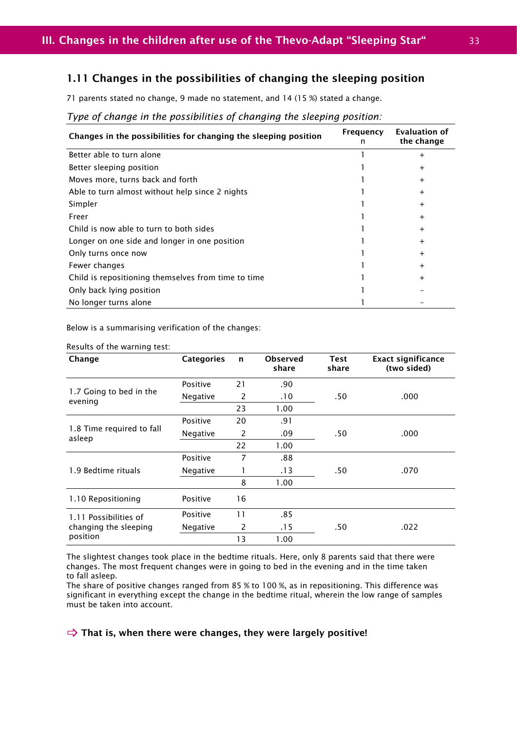### 1.11 Changes in the possibilities of changing the sleeping position

71 parents stated no change, 9 made no statement, and 14 (15 %) stated a change.

#### Changes in the possibilities for changing the sleeping position  $\overline{F}$  Frequency n Evaluation of the change Better able to turn alone 1 +  $\frac{1}{2}$  +  $\frac{1}{2}$  +  $\frac{1}{2}$  +  $\frac{1}{2}$  +  $\frac{1}{2}$  +  $\frac{1}{2}$  +  $\frac{1}{2}$  +  $\frac{1}{2}$  +  $\frac{1}{2}$  +  $\frac{1}{2}$  +  $\frac{1}{2}$  +  $\frac{1}{2}$  +  $\frac{1}{2}$  +  $\frac{1}{2}$  +  $\frac{1}{2}$  +  $\frac{1}{2}$  + Better sleeping position and the state of the state of the state of the state of the state of the state of the state of the state of the state of the state of the state of the state of the state of the state of the state o Moves more, turns back and forth 1 +  $\frac{1}{1}$  +  $\frac{1}{1}$  +  $\frac{1}{1}$  +  $\frac{1}{1}$  +  $\frac{1}{1}$  +  $\frac{1}{1}$  +  $\frac{1}{1}$  +  $\frac{1}{1}$  +  $\frac{1}{1}$  +  $\frac{1}{1}$  +  $\frac{1}{1}$  +  $\frac{1}{1}$  +  $\frac{1}{1}$  +  $\frac{1}{1}$  +  $\frac{1}{1}$  +  $\frac{1$ Able to turn almost without help since 2 nights 1 +  $\frac{1}{2}$  + Simpler that the set of the set of the set of the set of the set of the set of the set of the set of the set of the set of the set of the set of the set of the set of the set of the set of the set of the set of the set of Freer the contract of the contract of the contract of the contract of the contract of the contract of the contract of the contract of the contract of the contract of the contract of the contract of the contract of the cont Child is now able to turn to both sides 1 + Longer on one side and longer in one position and the set of the state of the state of the state of the state of the state of the state of the state of the state of the state of the state of the state of the state of the s Only turns once now the set of the set of the set of the set of the set of the set of the set of the set of the set of the set of the set of the set of the set of the set of the set of the set of the set of the set of the Fewer changes the contract of the contract of the contract of the contract of the contract of the contract of the contract of the contract of the contract of the contract of the contract of the contract of the contract of Child is repositioning themselves from time to time 1 +  $+$ Only back lying position 1 – No longer turns alone 1 and 1 and 1  $\sim$  1 and 1 and 1 and 1 and 1 and 1 and 1 and 1 and 1 and 1 and 1 and 1 and 1 and 1 and 1 and 1 and 1 and 1 and 1 and 1 and 1 and 1 and 1 and 1 and 1 and 1 and 1 and 1 and 1 and 1 and 1

#### *Type of change in the possibilities of changing the sleeping position:*

Below is a summarising verification of the changes:

| Results of the warning test: |  |  |
|------------------------------|--|--|
|------------------------------|--|--|

| Change                                         | <b>Categories</b> | $\mathbf n$ | <b>Observed</b><br>share | <b>Test</b><br>share | <b>Exact significance</b><br>(two sided) |
|------------------------------------------------|-------------------|-------------|--------------------------|----------------------|------------------------------------------|
|                                                | Positive          | 21          | .90                      |                      |                                          |
| 1.7 Going to bed in the<br>evening             | Negative          | 2           | .10                      | .50                  | .000                                     |
|                                                |                   | 23          | 1.00                     |                      |                                          |
| 1.8 Time required to fall<br>asleep            | Positive          | 20          | .91                      |                      |                                          |
|                                                | Negative          | 2           | .09                      | .50                  | .000                                     |
|                                                |                   | 22          | 1.00                     |                      |                                          |
|                                                | Positive          | 7           | .88                      |                      |                                          |
| 1.9 Bedtime rituals                            | Negative          |             | .13                      | .50                  | .070                                     |
|                                                |                   | 8           | 1.00                     |                      |                                          |
| 1.10 Repositioning                             | Positive          | 16          |                          |                      |                                          |
| 1.11 Possibilities of<br>changing the sleeping | Positive          | 11          | .85                      |                      |                                          |
|                                                | Negative          | 2           | .15                      | .50                  | .022                                     |
| position                                       |                   | 13          | 1.00                     |                      |                                          |

The slightest changes took place in the bedtime rituals. Here, only 8 parents said that there were changes. The most frequent changes were in going to bed in the evening and in the time taken to fall asleep.

The share of positive changes ranged from 85 % to 100 %, as in repositioning. This difference was significant in everything except the change in the bedtime ritual, wherein the low range of samples must be taken into account.

#### $\Rightarrow$  That is, when there were changes, they were largely positive!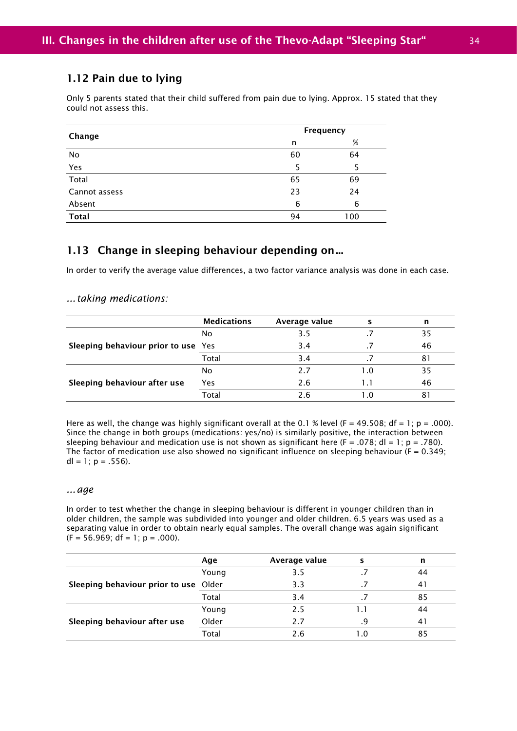### 1.12 Pain due to lying

Only 5 parents stated that their child suffered from pain due to lying. Approx. 15 stated that they could not assess this.

| Change        |    | Frequency |  |
|---------------|----|-----------|--|
|               | n  | %         |  |
| No            | 60 | 64        |  |
| Yes           | 5  |           |  |
| Total         | 65 | 69        |  |
| Cannot assess | 23 | 24        |  |
| Absent        | 6  | 6         |  |
| <b>Total</b>  | 94 | 100       |  |

### 1.13 Change in sleeping behaviour depending on ...

In order to verify the average value differences, a two factor variance analysis was done in each case.

#### *... taking medications:*

|                                     | <b>Medications</b> | Average value |     | n  |
|-------------------------------------|--------------------|---------------|-----|----|
|                                     | No                 | 3.5           |     | 35 |
| Sleeping behaviour prior to use Yes |                    | 3.4           |     | 46 |
|                                     | Total              | 3.4           |     | 81 |
|                                     | No                 | 2.7           | 1.0 | 35 |
| Sleeping behaviour after use        | Yes                | 2.6           |     | 46 |
|                                     | Total              | 2.6           |     | 81 |

Here as well, the change was highly significant overall at the 0.1 % level (F = 49.508; df = 1; p = .000). Since the change in both groups (medications: yes/no) is similarly positive, the interaction between sleeping behaviour and medication use is not shown as significant here ( $F = .078$ ; dl = 1; p = .780). The factor of medication use also showed no significant influence on sleeping behaviour ( $F = 0.349$ ;  $dl = 1$ ;  $p = .556$ ).

#### *... age*

In order to test whether the change in sleeping behaviour is different in younger children than in older children, the sample was subdivided into younger and older children. 6.5 years was used as a separating value in order to obtain nearly equal samples. The overall change was again significant  $(F = 56.969; df = 1; p = .000)$ .

|                                       | Age   | Average value |     | n  |
|---------------------------------------|-------|---------------|-----|----|
|                                       | Young | 3.5           |     | 44 |
| Sleeping behaviour prior to use Older |       | 3.3           |     | 41 |
|                                       | Total | 3.4           |     | 85 |
|                                       | Young | 2.5           |     | 44 |
| Sleeping behaviour after use          | Older | 2.7           | q   | 41 |
|                                       | Total | 2.6           | າ ດ | 85 |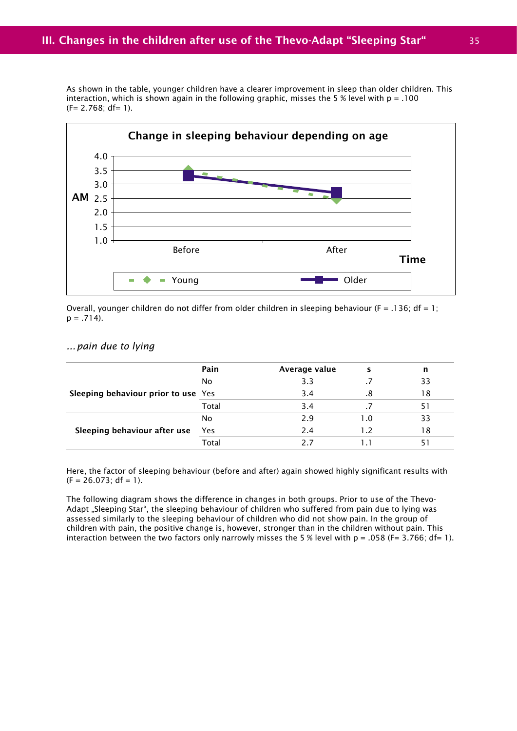As shown in the table, younger children have a clearer improvement in sleep than older children. This interaction, which is shown again in the following graphic, misses the 5 % level with  $p = .100$  $(F= 2.768; df= 1).$ 



Overall, younger children do not differ from older children in sleeping behaviour (F = .136; df = 1;  $p = .714$ ).

#### *... pain due to lying*

|                                     | Pain  | Average value |     |    |
|-------------------------------------|-------|---------------|-----|----|
| Sleeping behaviour prior to use Yes | No    | 3.3           |     | 33 |
|                                     |       | 3.4           | .8  | 18 |
|                                     | Total | 3.4           |     |    |
|                                     | No    | 2.9           | 1.0 | 33 |
| Sleeping behaviour after use        | Yes   | 2.4           | 1.2 | 18 |
|                                     | Total | 7 7           |     |    |

Here, the factor of sleeping behaviour (before and after) again showed highly significant results with  $(F = 26.073$ ; df = 1).

The following diagram shows the difference in changes in both groups. Prior to use of the Thevo-Adapt "Sleeping Star", the sleeping behaviour of children who suffered from pain due to lying was assessed similarly to the sleeping behaviour of children who did not show pain. In the group of children with pain, the positive change is, however, stronger than in the children without pain. This interaction between the two factors only narrowly misses the 5 % level with  $p = .058$  (F= 3.766; df= 1).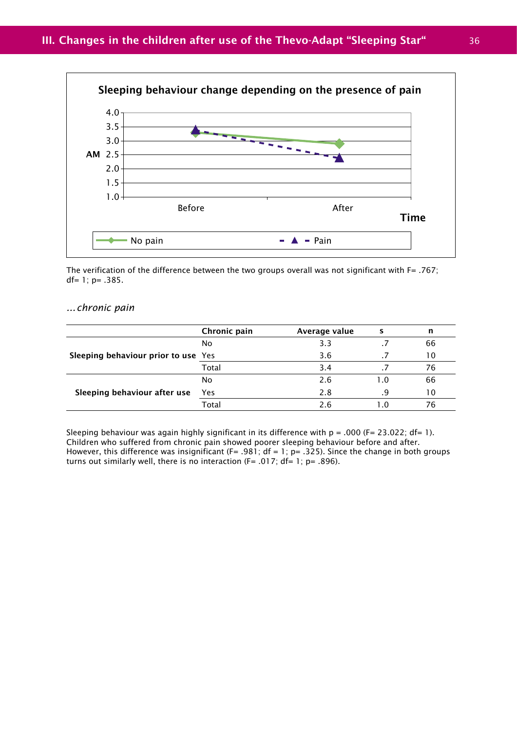

The verification of the difference between the two groups overall was not significant with F= .767; df= 1; p= .385.

#### *... chronic pain*

|                                     | Chronic pain | Average value | s   | n  |
|-------------------------------------|--------------|---------------|-----|----|
| Sleeping behaviour prior to use Yes | No           | 3.3           |     | 66 |
|                                     |              | 3.6           |     | 10 |
|                                     | Total        | 3.4           |     | 76 |
|                                     | No           | 2.6           | 1.0 | 66 |
| Sleeping behaviour after use        | <b>Yes</b>   | 2.8           | q   | 10 |
|                                     | Total        | 2.6           | າ ດ | 76 |

Sleeping behaviour was again highly significant in its difference with  $p = .000$  (F= 23.022; df= 1). Children who suffered from chronic pain showed poorer sleeping behaviour before and after. However, this difference was insignificant (F= .981; df = 1; p= .325). Since the change in both groups turns out similarly well, there is no interaction (F= .017;  $df= 1$ ; p= .896).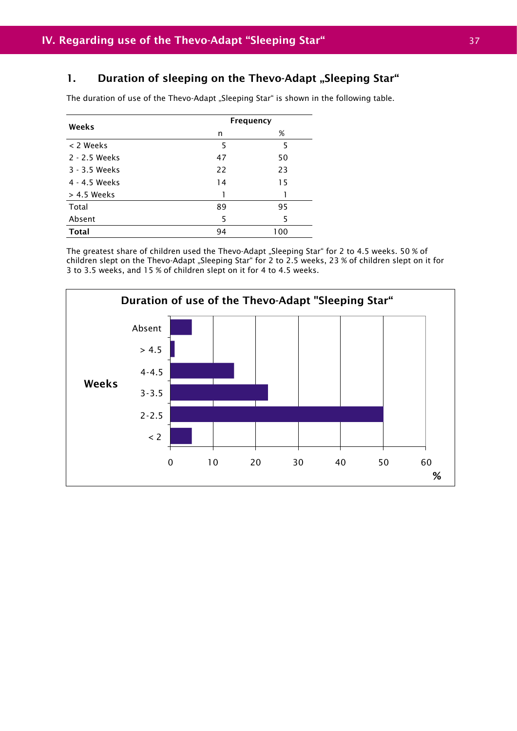### 1. Duration of sleeping on the Thevo-Adapt "Sleeping Star"

The duration of use of the Thevo-Adapt "Sleeping Star" is shown in the following table.

| Weeks         | <b>Frequency</b> |     |
|---------------|------------------|-----|
|               | n                | %   |
| < 2 Weeks     | 5                | 5   |
| 2 - 2.5 Weeks | 47               | 50  |
| 3 - 3.5 Weeks | 22               | 23  |
| 4 - 4.5 Weeks | 14               | 15  |
| $> 4.5$ Weeks | 1                |     |
| Total         | 89               | 95  |
| Absent        | 5                | 5   |
| <b>Total</b>  | 94               | 100 |
|               |                  |     |

The greatest share of children used the Thevo-Adapt "Sleeping Star" for 2 to 4.5 weeks. 50 % of children slept on the Thevo-Adapt "Sleeping Star" for 2 to 2.5 weeks, 23 % of children slept on it for 3 to 3.5 weeks, and 15 % of children slept on it for 4 to 4.5 weeks.

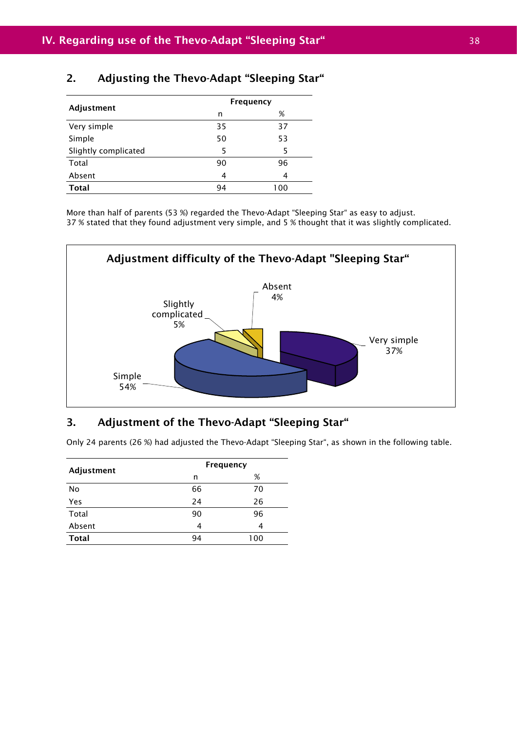### 2. Adjusting the Thevo-Adapt "Sleeping Star"

| Adjustment           |    | <b>Frequency</b> |
|----------------------|----|------------------|
|                      | n  | %                |
| Very simple          | 35 | 37               |
| Simple               | 50 | 53               |
| Slightly complicated | 5  | 5                |
| Total                | 90 | 96               |
| Absent               | 4  | 4                |
| <b>Total</b>         | 94 | 100              |

More than half of parents (53 %) regarded the Thevo-Adapt "Sleeping Star" as easy to adjust. 37 % stated that they found adjustment very simple, and 5 % thought that it was slightly complicated.



### 3. Adjustment of the Thevo-Adapt "Sleeping Star"

Only 24 parents (26 %) had adjusted the Thevo-Adapt "Sleeping Star", as shown in the following table.

| Adjustment   | <b>Frequency</b> |     |
|--------------|------------------|-----|
|              | n                | %   |
| No           | 66               | 70  |
| Yes          | 24               | 26  |
| Total        | 90               | 96  |
| Absent       | 4                | 4   |
| <b>Total</b> | 94               | 100 |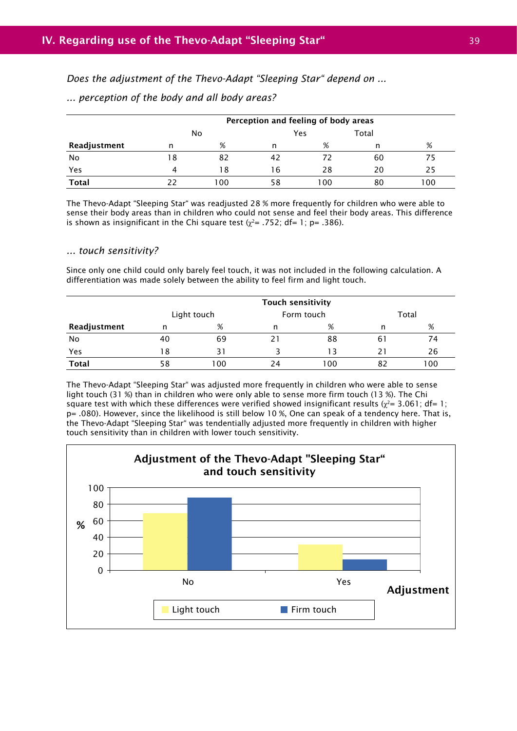*Does the adjustment of the Thevo-Adapt "Sleeping Star" depend on ...*

|              | Perception and feeling of body areas |     |              |     |    |      |  |
|--------------|--------------------------------------|-----|--------------|-----|----|------|--|
|              |                                      | No  | Total<br>Yes |     |    |      |  |
| Readjustment | n                                    | %   | n            | %   | n  | %    |  |
| No           | 18                                   | 82  | 42           |     | 60 |      |  |
| Yes          | 4                                    | 18  | 16           | 28  | 20 | 25   |  |
| <b>Total</b> | 22                                   | 100 | 58           | 100 | 80 | 00 ا |  |

*... perception of the body and all body areas?*

The Thevo-Adapt "Sleeping Star" was readjusted 28 % more frequently for children who were able to sense their body areas than in children who could not sense and feel their body areas. This difference is shown as insignificant in the Chi square test ( $\chi^2$ = .752; df= 1; p= .386).

#### *... touch sensitivity?*

Since only one child could only barely feel touch, it was not included in the following calculation. A differentiation was made solely between the ability to feel firm and light touch.

|              | <b>Touch sensitivity</b> |             |    |            |    |       |
|--------------|--------------------------|-------------|----|------------|----|-------|
|              |                          | Light touch |    | Form touch |    | Total |
| Readjustment | n                        | %           | n  | %          | n  | %     |
| No           | 40                       | 69          | 21 | 88         | 61 | 74    |
| Yes          | 18                       | 31          |    | 13         | 21 | 26    |
| <b>Total</b> | 58                       | 100         | 24 | 00 ا       | 82 | 100   |

The Thevo-Adapt "Sleeping Star" was adjusted more frequently in children who were able to sense light touch (31 %) than in children who were only able to sense more firm touch (13 %). The Chi square test with which these differences were verified showed insignificant results ( $\chi^2$  = 3.061; df= 1; p= .080). However, since the likelihood is still below 10 %, One can speak of a tendency here. That is, the Thevo-Adapt "Sleeping Star" was tendentially adjusted more frequently in children with higher touch sensitivity than in children with lower touch sensitivity.

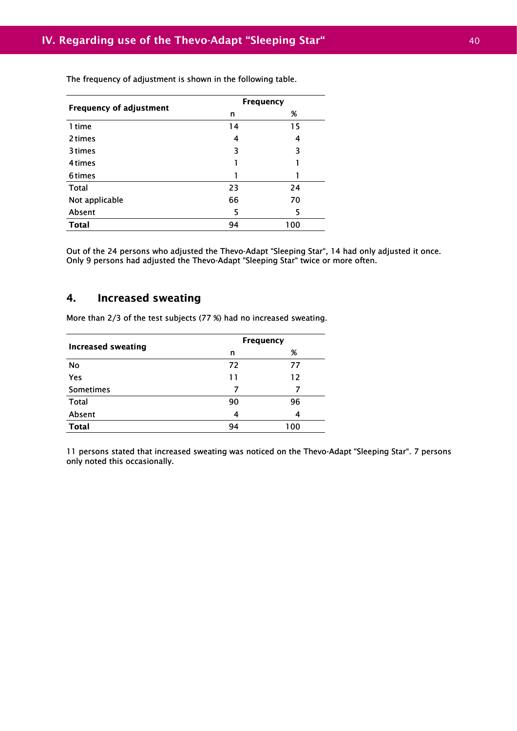| <b>Frequency of adjustment</b> |    | <b>Frequency</b> |
|--------------------------------|----|------------------|
|                                | n  | %                |
| 1 time                         | 14 | 15               |
| 2 times                        | 4  | 4                |
| 3 times                        | 3  | 3                |
| 4 times                        |    |                  |
| 6times                         |    |                  |
| Total                          | 23 | 24               |
| Not applicable                 | 66 | 70               |
| Absent                         | 5  | 5                |
| <b>Total</b>                   | 94 | 100              |

The frequency of adjustment is shown in the following table.

Out of the 24 persons who adjusted the Thevo-Adapt "Sleeping Star", 14 had only adjusted it once. Only 9 persons had adjusted the Thevo-Adapt "Sleeping Star" twice or more often.

### 4. Increased sweating

More than 2/3 of the test subjects (77 %) had no increased sweating.

| <b>Increased sweating</b> |    | <b>Frequency</b> |
|---------------------------|----|------------------|
|                           | n  | %                |
| No                        | 72 | 77               |
| Yes                       | 11 | 12               |
| Sometimes                 | 7  |                  |
| <b>Total</b>              | 90 | 96               |
| Absent                    | 4  | 4                |
| <b>Total</b>              | 94 | 100              |

11 persons stated that increased sweating was noticed on the Thevo-Adapt "Sleeping Star". 7 persons only noted this occasionally.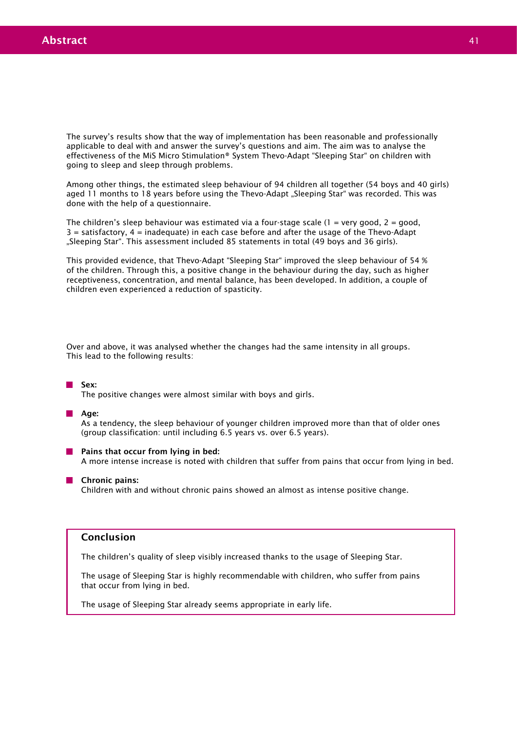The survey's results show that the way of implementation has been reasonable and professionally applicable to deal with and answer the survey's questions and aim. The aim was to analyse the effectiveness of the MiS Micro Stimulation® System Thevo-Adapt "Sleeping Star" on children with going to sleep and sleep through problems.

Among other things, the estimated sleep behaviour of 94 children all together (54 boys and 40 girls) aged 11 months to 18 years before using the Thevo-Adapt "Sleeping Star" was recorded. This was done with the help of a questionnaire.

The children's sleep behaviour was estimated via a four-stage scale  $(1 = \text{very good}, 2 = \text{good}, 1)$  $3$  = satisfactory,  $4$  = inadequate) in each case before and after the usage of the Thevo-Adapt "Sleeping Star". This assessment included 85 statements in total (49 boys and 36 girls).

This provided evidence, that Thevo-Adapt "Sleeping Star" improved the sleep behaviour of 54 % of the children. Through this, a positive change in the behaviour during the day, such as higher receptiveness, concentration, and mental balance, has been developed. In addition, a couple of children even experienced a reduction of spasticity.

Over and above, it was analysed whether the changes had the same intensity in all groups. This lead to the following results:

#### Sex:

The positive changes were almost similar with boys and girls.

#### **Age:**

As a tendency, the sleep behaviour of younger children improved more than that of older ones (group classification: until including 6.5 years vs. over 6.5 years).

**Pains that occur from lying in bed:** 

A more intense increase is noted with children that suffer from pains that occur from lying in bed.

#### **Chronic pains:**

Children with and without chronic pains showed an almost as intense positive change.

#### Conclusion

The children's quality of sleep visibly increased thanks to the usage of Sleeping Star.

The usage of Sleeping Star is highly recommendable with children, who suffer from pains that occur from lying in bed.

The usage of Sleeping Star already seems appropriate in early life.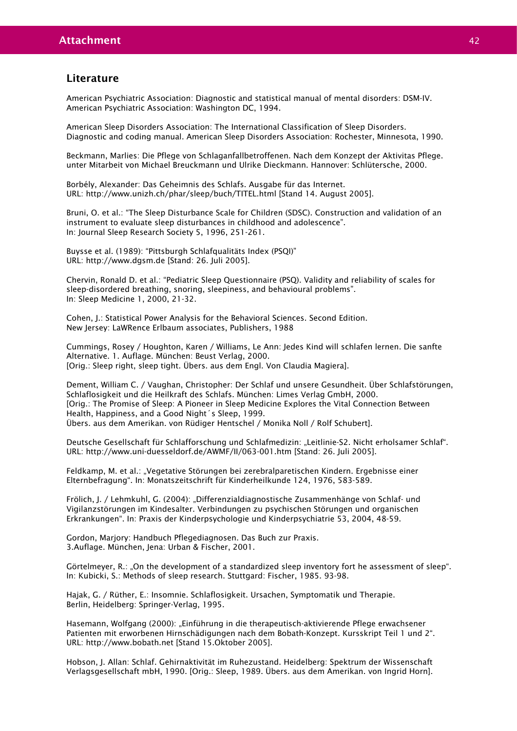#### Literature

American Psychiatric Association: Diagnostic and statistical manual of mental disorders: DSM-IV. American Psychiatric Association: Washington DC, 1994.

American Sleep Disorders Association: The International Classification of Sleep Disorders. Diagnostic and coding manual. American Sleep Disorders Association: Rochester, Minnesota, 1990.

Beckmann, Marlies: Die Pflege von Schlaganfallbetroffenen. Nach dem Konzept der Aktivitas Pflege. unter Mitarbeit von Michael Breuckmann und Ulrike Dieckmann. Hannover: Schlütersche, 2000.

Borbély, Alexander: Das Geheimnis des Schlafs. Ausgabe für das Internet. URL: http://www.unizh.ch/phar/sleep/buch/TITEL.html [Stand 14. August 2005].

Bruni, O. et al.: "The Sleep Disturbance Scale for Children (SDSC). Construction and validation of an instrument to evaluate sleep disturbances in childhood and adolescence". In: Journal Sleep Research Society 5, 1996, 251-261.

Buysse et al. (1989): "Pittsburgh Schlafqualitäts Index (PSOI)" URL: http://www.dgsm.de [Stand: 26. Juli 2005].

Chervin, Ronald D. et al.: "Pediatric Sleep Questionnaire (PSQ). Validity and reliability of scales for sleep-disordered breathing, snoring, sleepiness, and behavioural problems". In: Sleep Medicine 1, 2000, 21-32.

Cohen, J.: Statistical Power Analysis for the Behavioral Sciences. Second Edition. New Jersey: LaWRence Erlbaum associates, Publishers, 1988

Cummings, Rosey / Houghton, Karen / Williams, Le Ann: Jedes Kind will schlafen lernen. Die sanfte Alternative. 1. Auflage. München: Beust Verlag, 2000. [Orig.: Sleep right, sleep tight. Übers. aus dem Engl. Von Claudia Magiera].

Dement, William C. / Vaughan, Christopher: Der Schlaf und unsere Gesundheit. Über Schlafstörungen, Schlaflosigkeit und die Heilkraft des Schlafs. München: Limes Verlag GmbH, 2000. [Orig.: The Promise of Sleep: A Pioneer in Sleep Medicine Explores the Vital Connection Between Health, Happiness, and a Good Night´s Sleep, 1999. Übers. aus dem Amerikan. von Rüdiger Hentschel / Monika Noll / Rolf Schubert].

Deutsche Gesellschaft für Schlafforschung und Schlafmedizin: "Leitlinie-S2. Nicht erholsamer Schlaf". URL: http://www.uni-duesseldorf.de/AWMF/II/063-001.htm [Stand: 26. Juli 2005].

Feldkamp, M. et al.: "Vegetative Störungen bei zerebralparetischen Kindern. Ergebnisse einer Elternbefragung". In: Monatszeitschrift für Kinderheilkunde 124, 1976, 583-589.

Frölich, J. / Lehmkuhl, G. (2004): "Differenzialdiagnostische Zusammenhänge von Schlaf- und Vigilanzstörungen im Kindesalter. Verbindungen zu psychischen Störungen und organischen Erkrankungen". In: Praxis der Kinderpsychologie und Kinderpsychiatrie 53, 2004, 48-59.

Gordon, Marjory: Handbuch Pflegediagnosen. Das Buch zur Praxis. 3.Auflage. München, Jena: Urban & Fischer, 2001.

Görtelmeyer, R.: "On the development of a standardized sleep inventory fort he assessment of sleep". In: Kubicki, S.: Methods of sleep research. Stuttgard: Fischer, 1985. 93-98.

Hajak, G. / Rüther, E.: Insomnie. Schlaflosigkeit. Ursachen, Symptomatik und Therapie. Berlin, Heidelberg: Springer-Verlag, 1995.

Hasemann, Wolfgang (2000): "Einführung in die therapeutisch-aktivierende Pflege erwachsener Patienten mit erworbenen Hirnschädigungen nach dem Bobath-Konzept. Kursskript Teil 1 und 2". URL: http://www.bobath.net [Stand 15.Oktober 2005].

Hobson, J. Allan: Schlaf. Gehirnaktivität im Ruhezustand. Heidelberg: Spektrum der Wissenschaft Verlagsgesellschaft mbH, 1990. [Orig.: Sleep, 1989. Übers. aus dem Amerikan. von Ingrid Horn].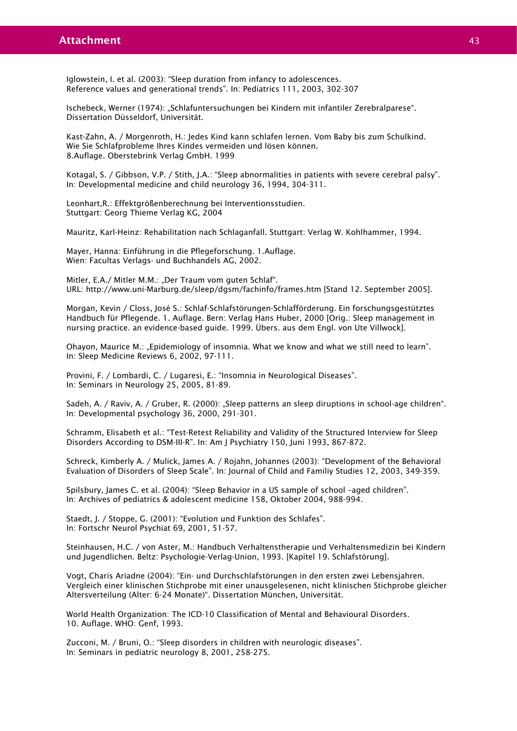Iglowstein, I. et al. (2003): "Sleep duration from infancy to adolescences. Reference values and generational trends". In: Pediatrics 111, 2003, 302-307

Ischebeck, Werner (1974): "Schlafuntersuchungen bei Kindern mit infantiler Zerebralparese". Dissertation Düsseldorf, Universität.

Kast-Zahn, A. / Morgenroth, H.: Jedes Kind kann schlafen lernen. Vom Baby bis zum Schulkind. Wie Sie Schlafprobleme Ihres Kindes vermeiden und lösen können. 8.Auflage. Oberstebrink Verlag GmbH. 1999

Kotagal, S. / Gibbson, V.P. / Stith, J.A.: "Sleep abnormalities in patients with severe cerebral palsy". In: Developmental medicine and child neurology 36, 1994, 304-311.

Leonhart,R.: Effektgrößenberechnung bei Interventionsstudien. Stuttgart: Georg Thieme Verlag KG, 2004

Mauritz, Karl-Heinz: Rehabilitation nach Schlaganfall. Stuttgart: Verlag W. Kohlhammer, 1994.

Mayer, Hanna: Einführung in die Pflegeforschung. 1.Auflage. Wien: Facultas Verlags- und Buchhandels AG, 2002.

Mitler, E.A./ Mitler M.M.: "Der Traum vom guten Schlaf". URL: http://www.uni-Marburg.de/sleep/dgsm/fachinfo/frames.htm [Stand 12. September 2005].

Morgan, Kevin / Closs, José S.: Schlaf-Schlafstörungen-Schlafförderung. Ein forschungsgestütztes Handbuch für Pflegende. 1. Auflage. Bern: Verlag Hans Huber, 2000 [Orig.: Sleep management in nursing practice. an evidence-based guide. 1999. Übers. aus dem Engl. von Ute Villwock].

Ohayon, Maurice M.: "Epidemiology of insomnia. What we know and what we still need to learn". In: Sleep Medicine Reviews 6, 2002, 97-111.

Provini, F. / Lombardi, C. / Lugaresi, E.: "Insomnia in Neurological Diseases". In: Seminars in Neurology 25, 2005, 81-89.

Sadeh, A. / Raviv, A. / Gruber, R. (2000): "Sleep patterns an sleep diruptions in school-age children". In: Developmental psychology 36, 2000, 291-301.

Schramm, Elisabeth et al.: "Test-Retest Reliability and Validity of the Structured Interview for Sleep Disorders According to DSM-III-R". In: Am J Psychiatry 150, Juni 1993, 867-872.

Schreck, Kimberly A. / Mulick, James A. / Rojahn, Johannes (2003): "Development of the Behavioral Evaluation of Disorders of Sleep Scale". In: Journal of Child and Familiy Studies 12, 2003, 349-359.

Spilsbury, James C. et al. (2004): "Sleep Behavior in a US sample of school –aged children". In: Archives of pediatrics & adolescent medicine 158, Oktober 2004, 988-994.

Staedt, J. / Stoppe, G. (2001): "Evolution und Funktion des Schlafes". In: Fortschr Neurol Psychiat 69, 2001, 51-57.

Steinhausen, H.C. / von Aster, M.: Handbuch Verhaltenstherapie und Verhaltensmedizin bei Kindern und Jugendlichen. Beltz: Psychologie-Verlag-Union, 1993. [Kapitel 19. Schlafstörung].

Vogt, Charis Ariadne (2004): "Ein- und Durchschlafstörungen in den ersten zwei Lebensjahren. Vergleich einer klinischen Stichprobe mit einer unausgelesenen, nicht klinischen Stichprobe gleicher Altersverteilung (Alter: 6-24 Monate)". Dissertation München, Universität.

World Health Organization: The ICD-10 Classification of Mental and Behavioural Disorders. 10. Auflage. WHO: Genf, 1993.

Zucconi, M. / Bruni, O.: "Sleep disorders in children with neurologic diseases". In: Seminars in pediatric neurology 8, 2001, 258-275.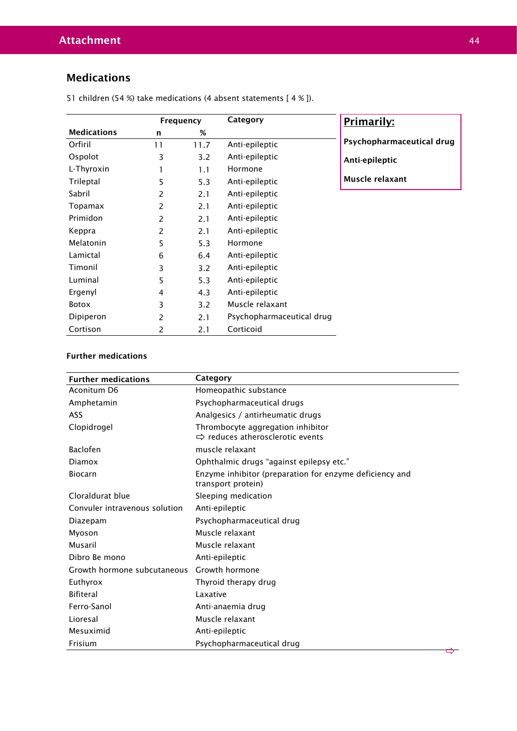## Medications

|                    | Frequency |      | Category                  | Primarily:                |  |
|--------------------|-----------|------|---------------------------|---------------------------|--|
| <b>Medications</b> | n         | %    |                           |                           |  |
| Orfiril            | 11        | 11.7 | Anti-epileptic            | Psychopharmaceutical drug |  |
| Ospolot            | 3         | 3.2  | Anti-epileptic            | Anti-epileptic            |  |
| L-Thyroxin         |           | 1.1  | Hormone                   |                           |  |
| Trileptal          | 5         | 5.3  | Anti-epileptic            | Muscle relaxant           |  |
| Sabril             | 2         | 2.1  | Anti-epileptic            |                           |  |
| Topamax            | 2         | 2.1  | Anti-epileptic            |                           |  |
| Primidon           | 2         | 2.1  | Anti-epileptic            |                           |  |
| Keppra             | 2         | 2.1  | Anti-epileptic            |                           |  |
| Melatonin          | 5         | 5.3  | Hormone                   |                           |  |
| Lamictal           | 6         | 6.4  | Anti-epileptic            |                           |  |
| Timonil            | 3         | 3.2  | Anti-epileptic            |                           |  |
| Luminal            | 5         | 5.3  | Anti-epileptic            |                           |  |
| Ergenyl            | 4         | 4.3  | Anti-epileptic            |                           |  |
| <b>Botox</b>       | 3         | 3.2  | Muscle relaxant           |                           |  |
| Dipiperon          | 2         | 2.1  | Psychopharmaceutical drug |                           |  |
| Cortison           | 2         | 2.1  | Corticoid                 |                           |  |

51 children (54 %) take medications (4 absent statements [ 4 % ]).

### Further medications

| <b>Further medications</b>    | Category                                                                          |
|-------------------------------|-----------------------------------------------------------------------------------|
| Aconitum D6                   | Homeopathic substance                                                             |
| Amphetamin                    | Psychopharmaceutical drugs                                                        |
| <b>ASS</b>                    | Analgesics / antirheumatic drugs                                                  |
| Clopidrogel                   | Thrombocyte aggregation inhibitor<br>$\Rightarrow$ reduces atherosclerotic events |
| <b>Baclofen</b>               | muscle relaxant                                                                   |
| Diamox                        | Ophthalmic drugs "against epilepsy etc."                                          |
| Biocarn                       | Enzyme inhibitor (preparation for enzyme deficiency and<br>transport protein)     |
| Cloraldurat blue              | Sleeping medication                                                               |
| Convuler intravenous solution | Anti-epileptic                                                                    |
| Diazepam                      | Psychopharmaceutical drug                                                         |
| Myoson                        | Muscle relaxant                                                                   |
| Musaril                       | Muscle relaxant                                                                   |
| Dibro Be mono                 | Anti-epileptic                                                                    |
| Growth hormone subcutaneous   | Growth hormone                                                                    |
| Euthyrox                      | Thyroid therapy drug                                                              |
| <b>Bifiteral</b>              | Laxative                                                                          |
| Ferro-Sanol                   | Anti-anaemia drug                                                                 |
| Lioresal                      | Muscle relaxant                                                                   |
| Mesuximid                     | Anti-epileptic                                                                    |
| Frisium                       | Psychopharmaceutical drug                                                         |
|                               |                                                                                   |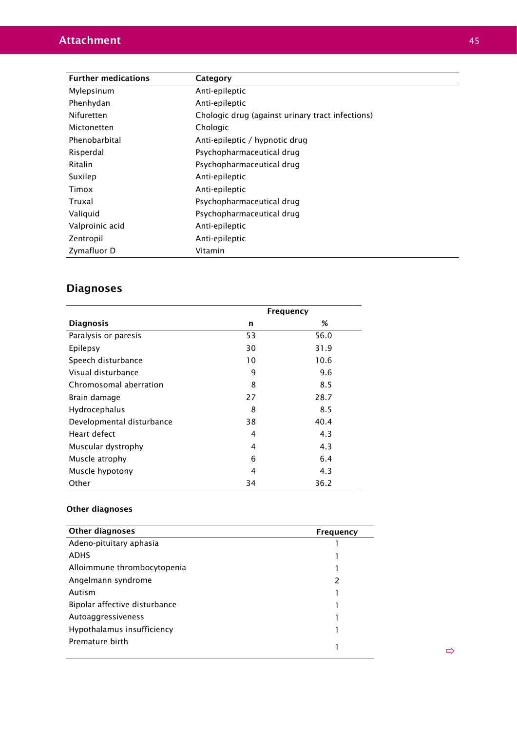| <b>Further medications</b> | Category                                         |
|----------------------------|--------------------------------------------------|
| Mylepsinum                 | Anti-epileptic                                   |
|                            |                                                  |
| Phenhydan                  | Anti-epileptic                                   |
| Nifuretten                 | Chologic drug (against urinary tract infections) |
| Mictonetten                | Chologic                                         |
| Phenobarbital              | Anti-epileptic / hypnotic drug                   |
| Risperdal                  | Psychopharmaceutical drug                        |
| Ritalin                    | Psychopharmaceutical drug                        |
| Suxilep                    | Anti-epileptic                                   |
| Timox                      | Anti-epileptic                                   |
| Truxal                     | Psychopharmaceutical drug                        |
| Valiquid                   | Psychopharmaceutical drug                        |
| Valproinic acid            | Anti-epileptic                                   |
| Zentropil                  | Anti-epileptic                                   |
| Zymafluor D                | Vitamin                                          |

# Diagnoses

|                           | <b>Frequency</b> |      |  |
|---------------------------|------------------|------|--|
| <b>Diagnosis</b>          | n                | %    |  |
| Paralysis or paresis      | 53               | 56.0 |  |
| Epilepsy                  | 30               | 31.9 |  |
| Speech disturbance        | 10               | 10.6 |  |
| Visual disturbance        | 9                | 9.6  |  |
| Chromosomal aberration    | 8                | 8.5  |  |
| Brain damage              | 27               | 28.7 |  |
| Hydrocephalus             | 8                | 8.5  |  |
| Developmental disturbance | 38               | 40.4 |  |
| Heart defect              | 4                | 4.3  |  |
| Muscular dystrophy        | 4                | 4.3  |  |
| Muscle atrophy            | 6                | 6.4  |  |
| Muscle hypotony           | 4                | 4.3  |  |
| Other                     | 34               | 36.2 |  |

### Other diagnoses

| Other diagnoses               | Frequency |
|-------------------------------|-----------|
| Adeno-pituitary aphasia       |           |
| <b>ADHS</b>                   |           |
| Alloimmune thrombocytopenia   |           |
| Angelmann syndrome            | 2         |
| Autism                        |           |
| Bipolar affective disturbance |           |
| Autoaggressiveness            |           |
| Hypothalamus insufficiency    |           |
| Premature birth               |           |
|                               |           |